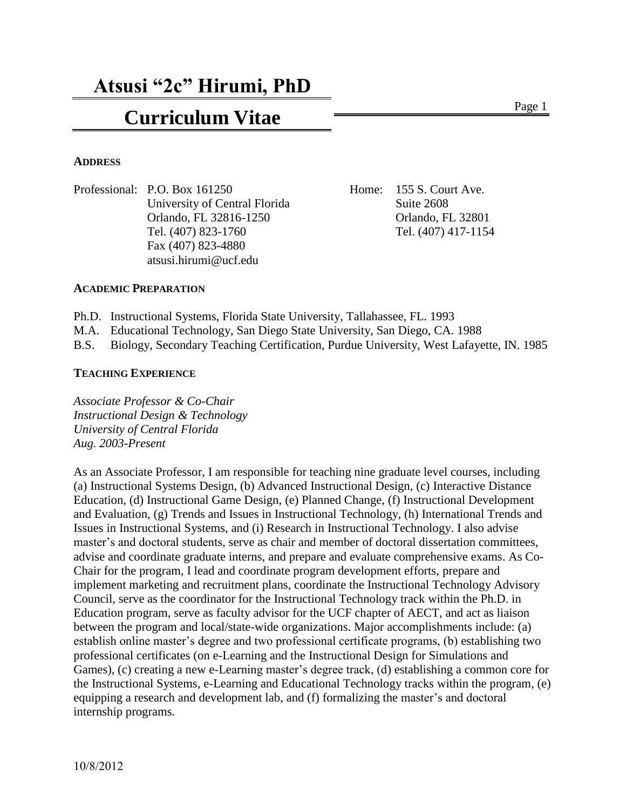# **Curriculum Vitae** Page 1

#### **ADDRESS**

Professional: P.O. Box 161250 Home: 155 S. Court Ave. University of Central Florida Suite 2608 Orlando, FL 32816-1250 Orlando, FL 32801 Tel. (407) 823-1760 Tel. (407) 417-1154 Fax (407) 823-4880 atsusi.hirumi@ucf.edu

#### **ACADEMIC PREPARATION**

- Ph.D. Instructional Systems, Florida State University, Tallahassee, FL. 1993
- M.A. Educational Technology, San Diego State University, San Diego, CA. 1988

B.S. Biology, Secondary Teaching Certification, Purdue University, West Lafayette, IN. 1985

#### **TEACHING EXPERIENCE**

*Associate Professor & Co-Chair Instructional Design & Technology University of Central Florida Aug. 2003-Present*

As an Associate Professor, I am responsible for teaching nine graduate level courses, including (a) Instructional Systems Design, (b) Advanced Instructional Design, (c) Interactive Distance Education, (d) Instructional Game Design, (e) Planned Change, (f) Instructional Development and Evaluation, (g) Trends and Issues in Instructional Technology, (h) International Trends and Issues in Instructional Systems, and (i) Research in Instructional Technology. I also advise master's and doctoral students, serve as chair and member of doctoral dissertation committees, advise and coordinate graduate interns, and prepare and evaluate comprehensive exams. As Co-Chair for the program, I lead and coordinate program development efforts, prepare and implement marketing and recruitment plans, coordinate the Instructional Technology Advisory Council, serve as the coordinator for the Instructional Technology track within the Ph.D. in Education program, serve as faculty advisor for the UCF chapter of AECT, and act as liaison between the program and local/state-wide organizations. Major accomplishments include: (a) establish online master's degree and two professional certificate programs, (b) establishing two professional certificates (on e-Learning and the Instructional Design for Simulations and Games), (c) creating a new e-Learning master's degree track, (d) establishing a common core for the Instructional Systems, e-Learning and Educational Technology tracks within the program, (e) equipping a research and development lab, and (f) formalizing the master's and doctoral internship programs.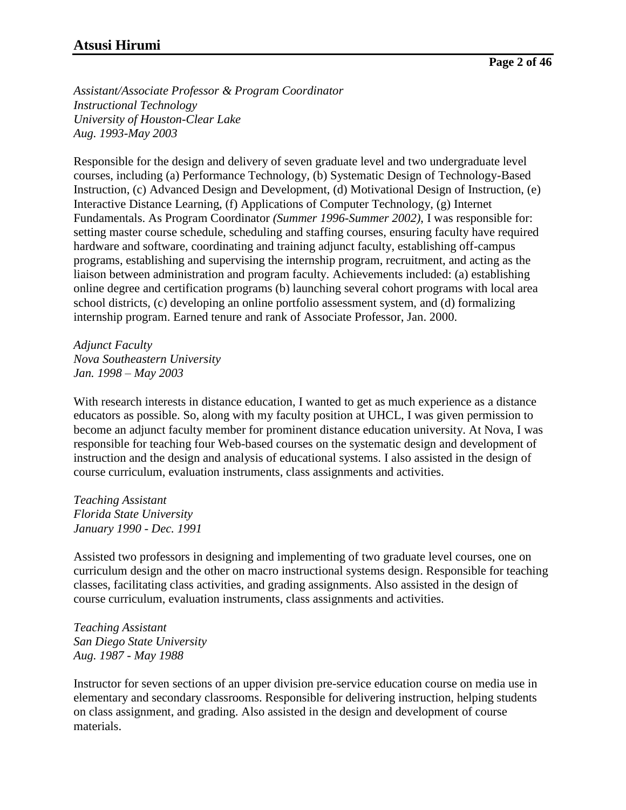*Assistant/Associate Professor & Program Coordinator Instructional Technology University of Houston-Clear Lake Aug. 1993-May 2003*

Responsible for the design and delivery of seven graduate level and two undergraduate level courses, including (a) Performance Technology, (b) Systematic Design of Technology-Based Instruction, (c) Advanced Design and Development, (d) Motivational Design of Instruction, (e) Interactive Distance Learning, (f) Applications of Computer Technology, (g) Internet Fundamentals. As Program Coordinator *(Summer 1996-Summer 2002)*, I was responsible for: setting master course schedule, scheduling and staffing courses, ensuring faculty have required hardware and software, coordinating and training adjunct faculty, establishing off-campus programs, establishing and supervising the internship program, recruitment, and acting as the liaison between administration and program faculty. Achievements included: (a) establishing online degree and certification programs (b) launching several cohort programs with local area school districts, (c) developing an online portfolio assessment system, and (d) formalizing internship program. Earned tenure and rank of Associate Professor, Jan. 2000.

*Adjunct Faculty Nova Southeastern University Jan. 1998 – May 2003*

With research interests in distance education, I wanted to get as much experience as a distance educators as possible. So, along with my faculty position at UHCL, I was given permission to become an adjunct faculty member for prominent distance education university. At Nova, I was responsible for teaching four Web-based courses on the systematic design and development of instruction and the design and analysis of educational systems. I also assisted in the design of course curriculum, evaluation instruments, class assignments and activities.

*Teaching Assistant Florida State University January 1990 - Dec. 1991*

Assisted two professors in designing and implementing of two graduate level courses, one on curriculum design and the other on macro instructional systems design. Responsible for teaching classes, facilitating class activities, and grading assignments. Also assisted in the design of course curriculum, evaluation instruments, class assignments and activities.

*Teaching Assistant San Diego State University Aug. 1987 - May 1988*

Instructor for seven sections of an upper division pre-service education course on media use in elementary and secondary classrooms. Responsible for delivering instruction, helping students on class assignment, and grading. Also assisted in the design and development of course materials.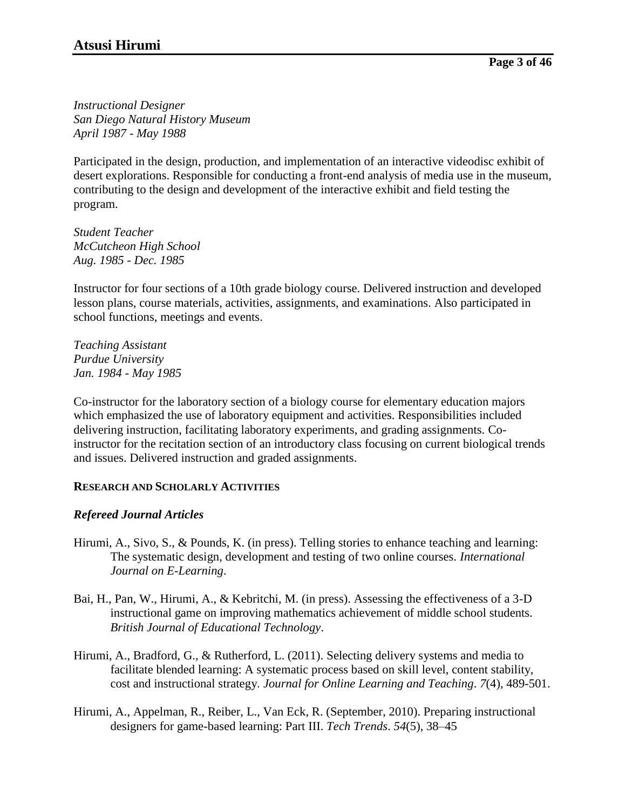*Instructional Designer San Diego Natural History Museum April 1987 - May 1988*

Participated in the design, production, and implementation of an interactive videodisc exhibit of desert explorations. Responsible for conducting a front-end analysis of media use in the museum, contributing to the design and development of the interactive exhibit and field testing the program.

*Student Teacher McCutcheon High School Aug. 1985 - Dec. 1985*

Instructor for four sections of a 10th grade biology course. Delivered instruction and developed lesson plans, course materials, activities, assignments, and examinations. Also participated in school functions, meetings and events.

*Teaching Assistant Purdue University Jan. 1984 - May 1985*

Co-instructor for the laboratory section of a biology course for elementary education majors which emphasized the use of laboratory equipment and activities. Responsibilities included delivering instruction, facilitating laboratory experiments, and grading assignments. Coinstructor for the recitation section of an introductory class focusing on current biological trends and issues. Delivered instruction and graded assignments.

## **RESEARCH AND SCHOLARLY ACTIVITIES**

## *Refereed Journal Articles*

- Hirumi, A., Sivo, S., & Pounds, K. (in press). Telling stories to enhance teaching and learning: The systematic design, development and testing of two online courses. *International Journal on E-Learning*.
- Bai, H., Pan, W., Hirumi, A., & Kebritchi, M. (in press). Assessing the effectiveness of a 3-D instructional game on improving mathematics achievement of middle school students. *British Journal of Educational Technology*.
- Hirumi, A., Bradford, G., & Rutherford, L. (2011). Selecting delivery systems and media to facilitate blended learning: A systematic process based on skill level, content stability, cost and instructional strategy. *Journal for Online Learning and Teaching*. *7*(4), 489-501.
- Hirumi, A., Appelman, R., Reiber, L., Van Eck, R. (September, 2010). Preparing instructional designers for game-based learning: Part III. *Tech Trends*. *54*(5), 38–45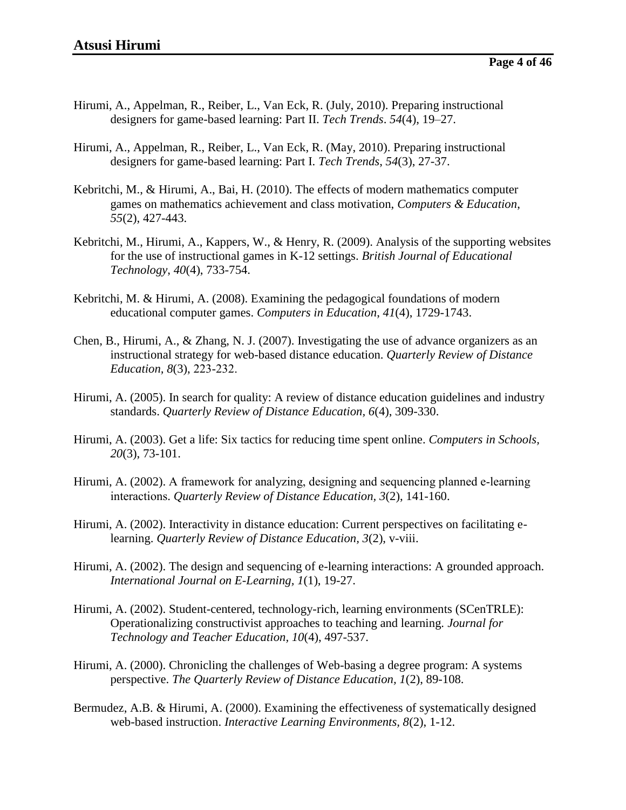- Hirumi, A., Appelman, R., Reiber, L., Van Eck, R. (July, 2010). Preparing instructional designers for game-based learning: Part II. *Tech Trends*. *54*(4), 19–27.
- Hirumi, A., Appelman, R., Reiber, L., Van Eck, R. (May, 2010). Preparing instructional designers for game-based learning: Part I. *Tech Trends*, *54*(3), 27-37.
- Kebritchi, M., & Hirumi, A., Bai, H. (2010). The effects of modern mathematics computer games on mathematics achievement and class motivation, *Computers & Education*, *55*(2), 427-443.
- Kebritchi, M., Hirumi, A., Kappers, W., & Henry, R. (2009). Analysis of the supporting websites for the use of instructional games in K-12 settings. *British Journal of Educational Technology*, *40*(4), 733-754.
- Kebritchi, M. & Hirumi, A. (2008). Examining the pedagogical foundations of modern educational computer games. *Computers in Education*, *41*(4), 1729-1743.
- Chen, B., Hirumi, A., & Zhang, N. J. (2007). Investigating the use of advance organizers as an instructional strategy for web-based distance education. *Quarterly Review of Distance Education, 8*(3), 223-232.
- Hirumi, A. (2005). In search for quality: A review of distance education guidelines and industry standards. *Quarterly Review of Distance Education, 6*(4), 309-330.
- Hirumi, A. (2003). Get a life: Six tactics for reducing time spent online. *Computers in Schools, 20*(3), 73-101.
- Hirumi, A. (2002). A framework for analyzing, designing and sequencing planned e-learning interactions. *Quarterly Review of Distance Education, 3*(2), 141-160.
- Hirumi, A. (2002). Interactivity in distance education: Current perspectives on facilitating elearning. *Quarterly Review of Distance Education, 3*(2), v-viii.
- Hirumi, A. (2002). The design and sequencing of e-learning interactions: A grounded approach. *International Journal on E-Learning, 1*(1), 19-27.
- Hirumi, A. (2002). Student-centered, technology-rich, learning environments (SCenTRLE): Operationalizing constructivist approaches to teaching and learning. *Journal for Technology and Teacher Education, 10*(4), 497-537.
- Hirumi, A. (2000). Chronicling the challenges of Web-basing a degree program: A systems perspective. *The Quarterly Review of Distance Education, 1*(2), 89-108.
- Bermudez, A.B. & Hirumi, A. (2000). Examining the effectiveness of systematically designed web-based instruction. *Interactive Learning Environments, 8*(2), 1-12.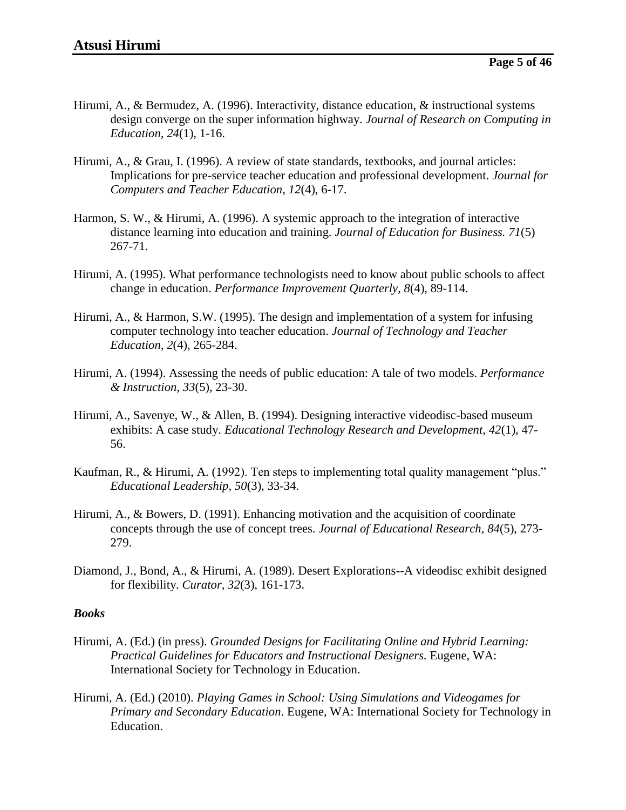- Hirumi, A., & Bermudez, A. (1996). Interactivity, distance education, & instructional systems design converge on the super information highway. *Journal of Research on Computing in Education, 24*(1), 1-16.
- Hirumi, A., & Grau, I. (1996). A review of state standards, textbooks, and journal articles: Implications for pre-service teacher education and professional development. *Journal for Computers and Teacher Education, 12*(4), 6-17.
- Harmon, S. W., & Hirumi, A. (1996). A systemic approach to the integration of interactive distance learning into education and training. *Journal of Education for Business. 71*(5) 267-71.
- Hirumi, A. (1995). What performance technologists need to know about public schools to affect change in education. *Performance Improvement Quarterly, 8*(4), 89-114.
- Hirumi, A., & Harmon, S.W. (1995). The design and implementation of a system for infusing computer technology into teacher education. *Journal of Technology and Teacher Education, 2*(4), 265-284.
- Hirumi, A. (1994). Assessing the needs of public education: A tale of two models. *Performance & Instruction, 33*(5), 23-30.
- Hirumi, A., Savenye, W., & Allen, B. (1994). Designing interactive videodisc-based museum exhibits: A case study. *Educational Technology Research and Development, 42*(1), 47- 56.
- Kaufman, R., & Hirumi, A. (1992). Ten steps to implementing total quality management "plus." *Educational Leadership, 50*(3), 33-34.
- Hirumi, A., & Bowers, D. (1991). Enhancing motivation and the acquisition of coordinate concepts through the use of concept trees. *Journal of Educational Research, 84*(5), 273- 279.
- Diamond, J., Bond, A., & Hirumi, A. (1989). Desert Explorations--A videodisc exhibit designed for flexibility. *Curator, 32*(3), 161-173.

#### *Books*

- Hirumi, A. (Ed.) (in press). *Grounded Designs for Facilitating Online and Hybrid Learning: Practical Guidelines for Educators and Instructional Designers.* Eugene, WA: International Society for Technology in Education.
- Hirumi, A. (Ed.) (2010). *Playing Games in School: Using Simulations and Videogames for Primary and Secondary Education*. Eugene, WA: International Society for Technology in Education.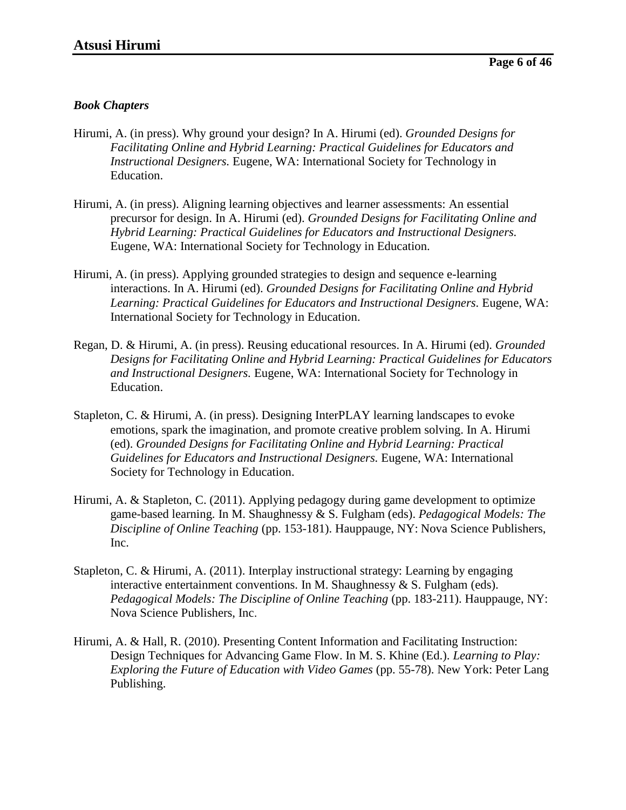#### *Book Chapters*

- Hirumi, A. (in press). Why ground your design? In A. Hirumi (ed). *Grounded Designs for Facilitating Online and Hybrid Learning: Practical Guidelines for Educators and Instructional Designers.* Eugene, WA: International Society for Technology in Education.
- Hirumi, A. (in press). Aligning learning objectives and learner assessments: An essential precursor for design. In A. Hirumi (ed). *Grounded Designs for Facilitating Online and Hybrid Learning: Practical Guidelines for Educators and Instructional Designers.* Eugene, WA: International Society for Technology in Education.
- Hirumi, A. (in press). Applying grounded strategies to design and sequence e-learning interactions. In A. Hirumi (ed). *Grounded Designs for Facilitating Online and Hybrid Learning: Practical Guidelines for Educators and Instructional Designers.* Eugene, WA: International Society for Technology in Education.
- Regan, D. & Hirumi, A. (in press). Reusing educational resources. In A. Hirumi (ed). *Grounded Designs for Facilitating Online and Hybrid Learning: Practical Guidelines for Educators and Instructional Designers.* Eugene, WA: International Society for Technology in Education.
- Stapleton, C. & Hirumi, A. (in press). Designing InterPLAY learning landscapes to evoke emotions, spark the imagination, and promote creative problem solving. In A. Hirumi (ed). *Grounded Designs for Facilitating Online and Hybrid Learning: Practical Guidelines for Educators and Instructional Designers.* Eugene, WA: International Society for Technology in Education.
- Hirumi, A. & Stapleton, C. (2011). Applying pedagogy during game development to optimize game-based learning. In M. Shaughnessy & S. Fulgham (eds). *Pedagogical Models: The Discipline of Online Teaching* (pp. 153-181). Hauppauge, NY: Nova Science Publishers, Inc.
- Stapleton, C. & Hirumi, A. (2011). Interplay instructional strategy: Learning by engaging interactive entertainment conventions. In M. Shaughnessy  $&$  S. Fulgham (eds). *Pedagogical Models: The Discipline of Online Teaching (pp. 183-211). Hauppauge, NY:* Nova Science Publishers, Inc.
- Hirumi, A. & Hall, R. (2010). Presenting Content Information and Facilitating Instruction: Design Techniques for Advancing Game Flow. In M. S. Khine (Ed.). *Learning to Play: Exploring the Future of Education with Video Games* (pp. 55-78). New York: Peter Lang Publishing.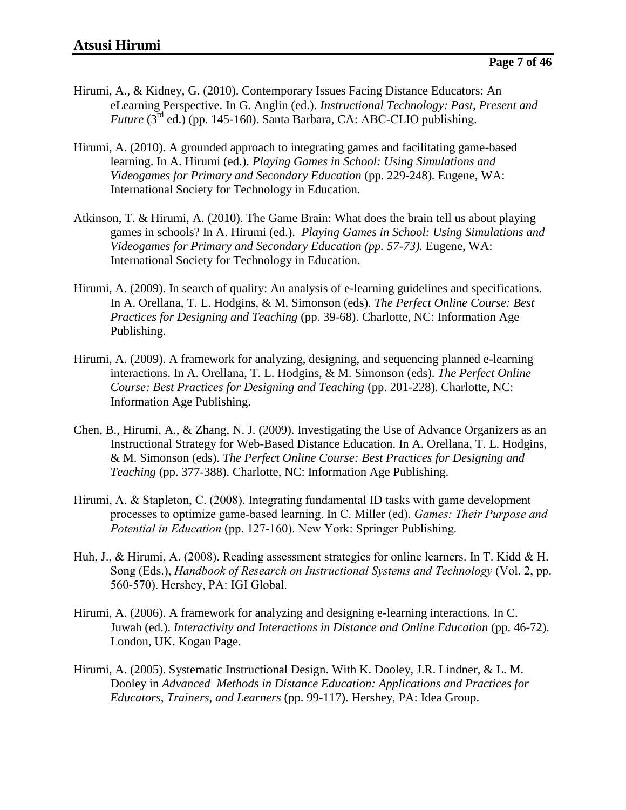- Hirumi, A., & Kidney, G. (2010). Contemporary Issues Facing Distance Educators: An eLearning Perspective. In G. Anglin (ed.). *Instructional Technology: Past, Present and Future* (3<sup>rd</sup> ed.) (pp. 145-160). Santa Barbara, CA: ABC-CLIO publishing.
- Hirumi, A. (2010). A grounded approach to integrating games and facilitating game-based learning. In A. Hirumi (ed.). *Playing Games in School: Using Simulations and Videogames for Primary and Secondary Education* (pp. 229-248)*.* Eugene, WA: International Society for Technology in Education.
- Atkinson, T. & Hirumi, A. (2010). The Game Brain: What does the brain tell us about playing games in schools? In A. Hirumi (ed.). *Playing Games in School: Using Simulations and Videogames for Primary and Secondary Education (pp. 57-73).* Eugene, WA: International Society for Technology in Education.
- Hirumi, A. (2009). In search of quality: An analysis of e-learning guidelines and specifications. In A. Orellana, T. L. Hodgins, & M. Simonson (eds). *The Perfect Online Course: Best Practices for Designing and Teaching* (pp. 39-68). Charlotte, NC: Information Age Publishing.
- Hirumi, A. (2009). A framework for analyzing, designing, and sequencing planned e-learning interactions. In A. Orellana, T. L. Hodgins, & M. Simonson (eds). *The Perfect Online Course: Best Practices for Designing and Teaching* (pp. 201-228). Charlotte, NC: Information Age Publishing.
- Chen, B., Hirumi, A., & Zhang, N. J. (2009). Investigating the Use of Advance Organizers as an Instructional Strategy for Web-Based Distance Education. In A. Orellana, T. L. Hodgins, & M. Simonson (eds). *The Perfect Online Course: Best Practices for Designing and Teaching* (pp. 377-388). Charlotte, NC: Information Age Publishing.
- Hirumi, A. & Stapleton, C. (2008). Integrating fundamental ID tasks with game development processes to optimize game-based learning. In C. Miller (ed). *Games: Their Purpose and Potential in Education* (pp. 127-160). New York: Springer Publishing.
- Huh, J., & Hirumi, A. (2008). Reading assessment strategies for online learners. In T. Kidd & H. Song (Eds.), *Handbook of Research on Instructional Systems and Technology* (Vol. 2, pp. 560-570). Hershey, PA: IGI Global.
- Hirumi, A. (2006). A framework for analyzing and designing e-learning interactions. In C. Juwah (ed.). *Interactivity and Interactions in Distance and Online Education* (pp. 46-72). London, UK. Kogan Page.
- Hirumi, A. (2005). Systematic Instructional Design. With K. Dooley, J.R. Lindner, & L. M. Dooley in *Advanced Methods in Distance Education: Applications and Practices for Educators, Trainers, and Learners* (pp. 99-117). Hershey, PA: Idea Group.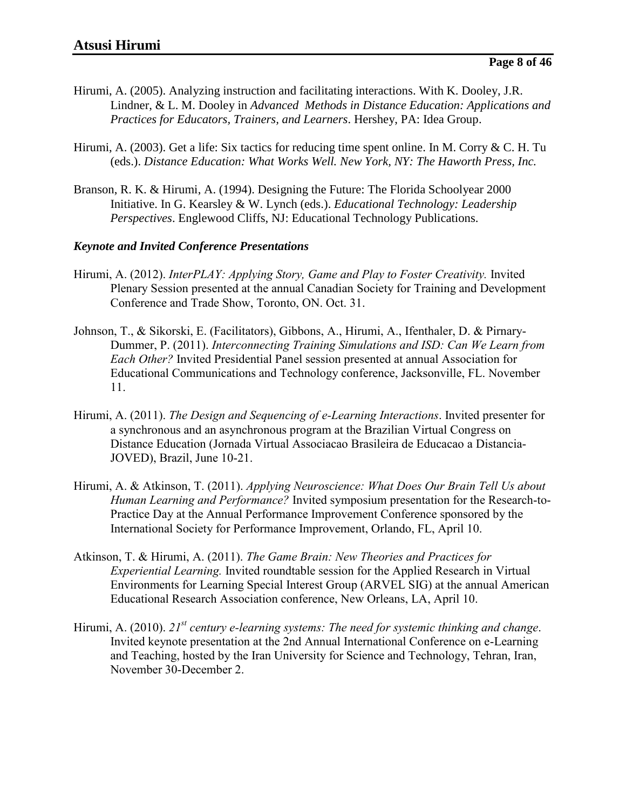- Hirumi, A. (2005). Analyzing instruction and facilitating interactions. With K. Dooley, J.R. Lindner, & L. M. Dooley in *Advanced Methods in Distance Education: Applications and Practices for Educators, Trainers, and Learners*. Hershey, PA: Idea Group.
- Hirumi, A. (2003). Get a life: Six tactics for reducing time spent online. In M. Corry & C. H. Tu (eds.). *Distance Education: What Works Well. New York, NY: The Haworth Press, Inc.*
- Branson, R. K. & Hirumi, A. (1994). Designing the Future: The Florida Schoolyear 2000 Initiative. In G. Kearsley & W. Lynch (eds.). *Educational Technology: Leadership Perspectives*. Englewood Cliffs, NJ: Educational Technology Publications.

#### *Keynote and Invited Conference Presentations*

- Hirumi, A. (2012). *InterPLAY: Applying Story, Game and Play to Foster Creativity.* Invited Plenary Session presented at the annual Canadian Society for Training and Development Conference and Trade Show, Toronto, ON. Oct. 31.
- Johnson, T., & Sikorski, E. (Facilitators), Gibbons, A., Hirumi, A., Ifenthaler, D. & Pirnary-Dummer, P. (2011). *Interconnecting Training Simulations and ISD: Can We Learn from Each Other?* Invited Presidential Panel session presented at annual Association for Educational Communications and Technology conference, Jacksonville, FL. November 11.
- Hirumi, A. (2011). *The Design and Sequencing of e-Learning Interactions*. Invited presenter for a synchronous and an asynchronous program at the Brazilian Virtual Congress on Distance Education (Jornada Virtual Associacao Brasileira de Educacao a Distancia-JOVED), Brazil, June 10-21.
- Hirumi, A. & Atkinson, T. (2011). *Applying Neuroscience: What Does Our Brain Tell Us about Human Learning and Performance?* Invited symposium presentation for the Research-to-Practice Day at the Annual Performance Improvement Conference sponsored by the International Society for Performance Improvement, Orlando, FL, April 10.
- Atkinson, T. & Hirumi, A. (2011). *The Game Brain: New Theories and Practices for Experiential Learning.* Invited roundtable session for the Applied Research in Virtual Environments for Learning Special Interest Group (ARVEL SIG) at the annual American Educational Research Association conference, New Orleans, LA, April 10.
- Hirumi, A. (2010). *21st century e-learning systems: The need for systemic thinking and change*. Invited keynote presentation at the 2nd Annual International Conference on e-Learning and Teaching, hosted by the Iran University for Science and Technology, Tehran, Iran, November 30-December 2.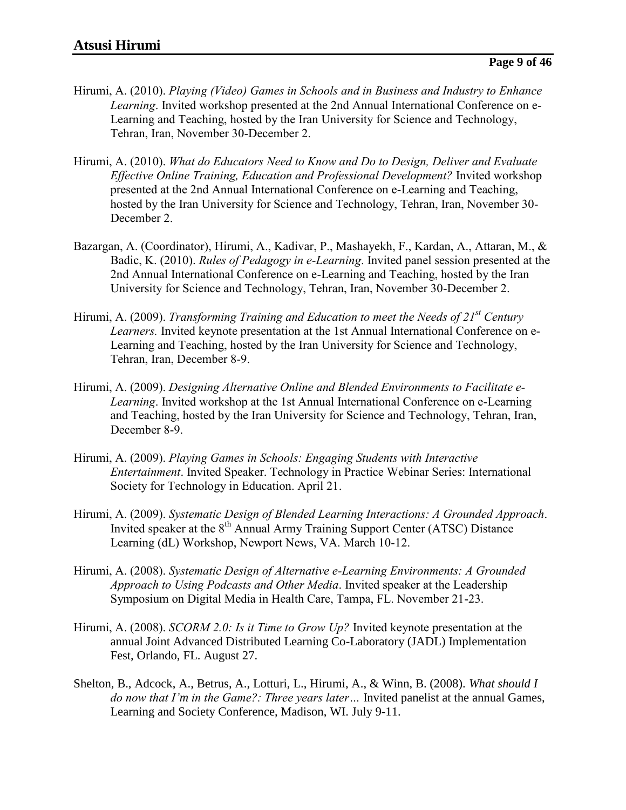- Hirumi, A. (2010). *Playing (Video) Games in Schools and in Business and Industry to Enhance Learning*. Invited workshop presented at the 2nd Annual International Conference on e-Learning and Teaching, hosted by the Iran University for Science and Technology, Tehran, Iran, November 30-December 2.
- Hirumi, A. (2010). *What do Educators Need to Know and Do to Design, Deliver and Evaluate Effective Online Training, Education and Professional Development?* Invited workshop presented at the 2nd Annual International Conference on e-Learning and Teaching, hosted by the Iran University for Science and Technology, Tehran, Iran, November 30- December 2.
- Bazargan, A. (Coordinator), Hirumi, A., Kadivar, P., Mashayekh, F., Kardan, A., Attaran, M., & Badic, K. (2010). *Rules of Pedagogy in e-Learning*. Invited panel session presented at the 2nd Annual International Conference on e-Learning and Teaching, hosted by the Iran University for Science and Technology, Tehran, Iran, November 30-December 2.
- Hirumi, A. (2009). *Transforming Training and Education to meet the Needs of 21st Century Learners.* Invited keynote presentation at the 1st Annual International Conference on e-Learning and Teaching, hosted by the Iran University for Science and Technology, Tehran, Iran, December 8-9.
- Hirumi, A. (2009). *Designing Alternative Online and Blended Environments to Facilitate e-Learning*. Invited workshop at the 1st Annual International Conference on e-Learning and Teaching, hosted by the Iran University for Science and Technology, Tehran, Iran, December 8-9.
- Hirumi, A. (2009). *Playing Games in Schools: Engaging Students with Interactive Entertainment*. Invited Speaker. Technology in Practice Webinar Series: International Society for Technology in Education. April 21.
- Hirumi, A. (2009). *Systematic Design of Blended Learning Interactions: A Grounded Approach*. Invited speaker at the  $8<sup>th</sup>$  Annual Army Training Support Center (ATSC) Distance Learning (dL) Workshop, Newport News, VA. March 10-12.
- Hirumi, A. (2008). *Systematic Design of Alternative e-Learning Environments: A Grounded Approach to Using Podcasts and Other Media*. Invited speaker at the Leadership Symposium on Digital Media in Health Care, Tampa, FL. November 21-23.
- Hirumi, A. (2008). *SCORM 2.0: Is it Time to Grow Up?* Invited keynote presentation at the annual Joint Advanced Distributed Learning Co-Laboratory (JADL) Implementation Fest, Orlando, FL. August 27.
- Shelton, B., Adcock, A., Betrus, A., Lotturi, L., Hirumi, A., & Winn, B. (2008). *What should I do now that I'm in the Game?: Three years later…* Invited panelist at the annual Games, Learning and Society Conference, Madison, WI. July 9-11.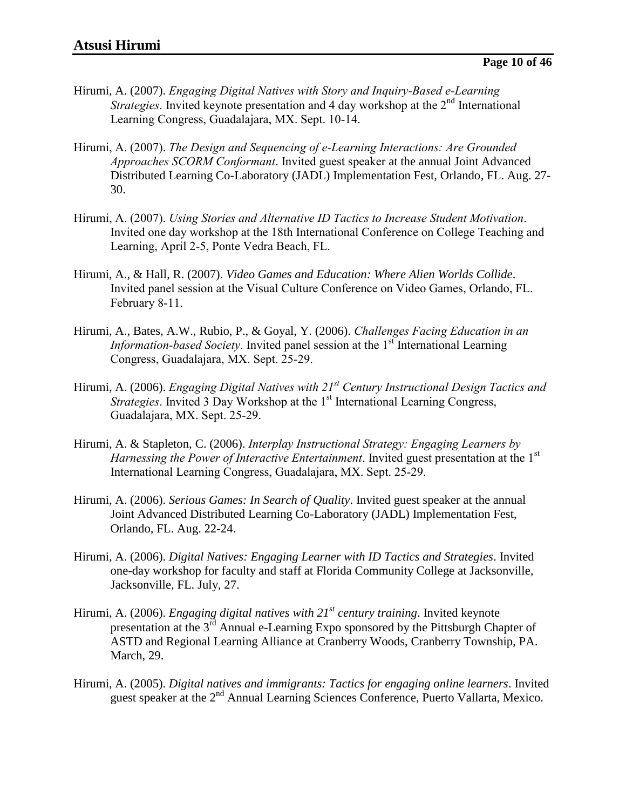- Hirumi, A. (2007). *Engaging Digital Natives with Story and Inquiry-Based e-Learning Strategies*. Invited keynote presentation and 4 day workshop at the 2<sup>nd</sup> International Learning Congress, Guadalajara, MX. Sept. 10-14.
- Hirumi, A. (2007). *The Design and Sequencing of e-Learning Interactions: Are Grounded Approaches SCORM Conformant*. Invited guest speaker at the annual Joint Advanced Distributed Learning Co-Laboratory (JADL) Implementation Fest, Orlando, FL. Aug. 27- 30.
- Hirumi, A. (2007). *Using Stories and Alternative ID Tactics to Increase Student Motivation*. Invited one day workshop at the 18th International Conference on College Teaching and Learning, April 2-5, Ponte Vedra Beach, FL.
- Hirumi, A., & Hall, R. (2007). *Video Games and Education: Where Alien Worlds Collide*. Invited panel session at the Visual Culture Conference on Video Games, Orlando, FL. February 8-11.
- Hirumi, A., Bates, A.W., Rubio, P., & Goyal, Y. (2006). *Challenges Facing Education in an Information-based Society*. Invited panel session at the 1<sup>st</sup> International Learning Congress, Guadalajara, MX. Sept. 25-29.
- Hirumi, A. (2006). *Engaging Digital Natives with 21st Century Instructional Design Tactics and Strategies*. Invited 3 Day Workshop at the 1<sup>st</sup> International Learning Congress, Guadalajara, MX. Sept. 25-29.
- Hirumi, A. & Stapleton, C. (2006). *Interplay Instructional Strategy: Engaging Learners by Harnessing the Power of Interactive Entertainment.* Invited guest presentation at the 1<sup>st</sup> International Learning Congress, Guadalajara, MX. Sept. 25-29.
- Hirumi, A. (2006). *Serious Games: In Search of Quality*. Invited guest speaker at the annual Joint Advanced Distributed Learning Co-Laboratory (JADL) Implementation Fest, Orlando, FL. Aug. 22-24.
- Hirumi, A. (2006). *Digital Natives: Engaging Learner with ID Tactics and Strategies*. Invited one-day workshop for faculty and staff at Florida Community College at Jacksonville, Jacksonville, FL. July, 27.
- Hirumi, A. (2006). *Engaging digital natives with 21st century training*. Invited keynote presentation at the 3<sup>rd</sup> Annual e-Learning Expo sponsored by the Pittsburgh Chapter of ASTD and Regional Learning Alliance at Cranberry Woods, Cranberry Township, PA. March, 29.
- Hirumi, A. (2005). *Digital natives and immigrants: Tactics for engaging online learners*. Invited guest speaker at the 2<sup>nd</sup> Annual Learning Sciences Conference, Puerto Vallarta, Mexico.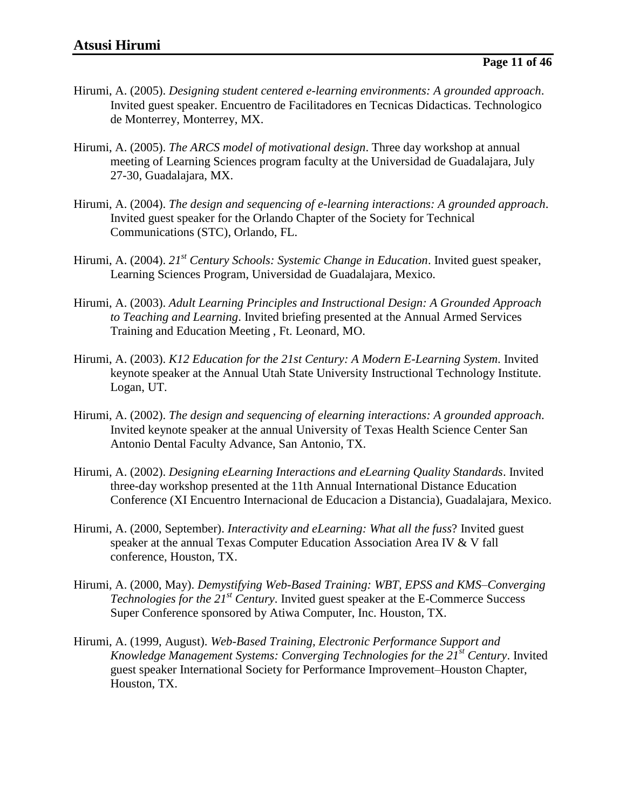- Hirumi, A. (2005). *Designing student centered e-learning environments: A grounded approach*. Invited guest speaker. Encuentro de Facilitadores en Tecnicas Didacticas. Technologico de Monterrey, Monterrey, MX.
- Hirumi, A. (2005). *The ARCS model of motivational design*. Three day workshop at annual meeting of Learning Sciences program faculty at the Universidad de Guadalajara, July 27-30, Guadalajara, MX.
- Hirumi, A. (2004). *The design and sequencing of e-learning interactions: A grounded approach*. Invited guest speaker for the Orlando Chapter of the Society for Technical Communications (STC), Orlando, FL.
- Hirumi, A. (2004). *21st Century Schools: Systemic Change in Education*. Invited guest speaker, Learning Sciences Program, Universidad de Guadalajara, Mexico.
- Hirumi, A. (2003). *Adult Learning Principles and Instructional Design: A Grounded Approach to Teaching and Learning*. Invited briefing presented at the Annual Armed Services Training and Education Meeting , Ft. Leonard, MO.
- Hirumi, A. (2003). *K12 Education for the 21st Century: A Modern E-Learning System*. Invited keynote speaker at the Annual Utah State University Instructional Technology Institute. Logan, UT.
- Hirumi, A. (2002). *The design and sequencing of elearning interactions: A grounded approach*. Invited keynote speaker at the annual University of Texas Health Science Center San Antonio Dental Faculty Advance, San Antonio, TX.
- Hirumi, A. (2002). *Designing eLearning Interactions and eLearning Quality Standards*. Invited three-day workshop presented at the 11th Annual International Distance Education Conference (XI Encuentro Internacional de Educacion a Distancia), Guadalajara, Mexico.
- Hirumi, A. (2000, September). *Interactivity and eLearning: What all the fuss*? Invited guest speaker at the annual Texas Computer Education Association Area IV & V fall conference, Houston, TX.
- Hirumi, A. (2000, May). *Demystifying Web-Based Training: WBT, EPSS and KMS–Converging Technologies for the 21st Century*. Invited guest speaker at the E-Commerce Success Super Conference sponsored by Atiwa Computer, Inc. Houston, TX.
- Hirumi, A. (1999, August). *Web-Based Training, Electronic Performance Support and Knowledge Management Systems: Converging Technologies for the 21st Century*. Invited guest speaker International Society for Performance Improvement–Houston Chapter, Houston, TX.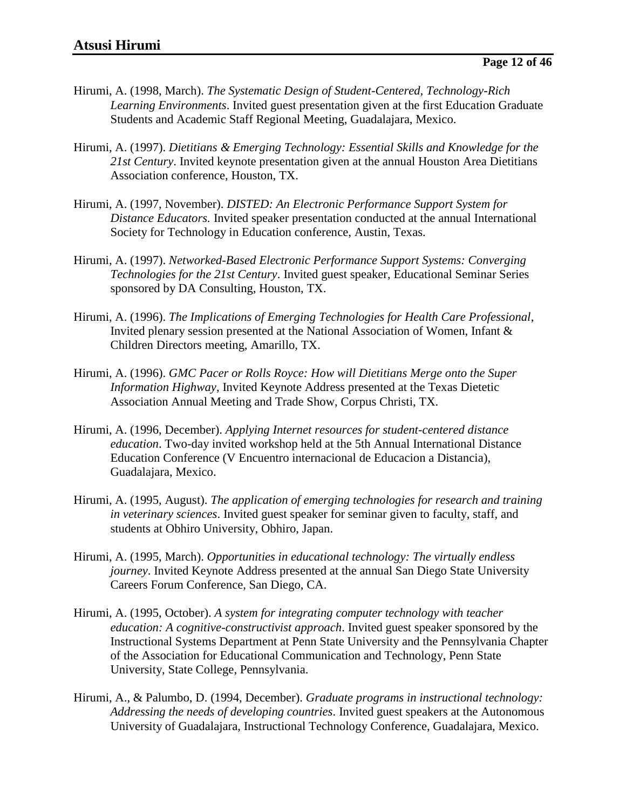- Hirumi, A. (1998, March). *The Systematic Design of Student-Centered, Technology-Rich Learning Environments*. Invited guest presentation given at the first Education Graduate Students and Academic Staff Regional Meeting, Guadalajara, Mexico.
- Hirumi, A. (1997). *Dietitians & Emerging Technology: Essential Skills and Knowledge for the 21st Century*. Invited keynote presentation given at the annual Houston Area Dietitians Association conference, Houston, TX.
- Hirumi, A. (1997, November). *DISTED: An Electronic Performance Support System for Distance Educators.* Invited speaker presentation conducted at the annual International Society for Technology in Education conference, Austin, Texas.
- Hirumi, A. (1997). *Networked-Based Electronic Performance Support Systems: Converging Technologies for the 21st Century*. Invited guest speaker, Educational Seminar Series sponsored by DA Consulting, Houston, TX.
- Hirumi, A. (1996). *The Implications of Emerging Technologies for Health Care Professional*, Invited plenary session presented at the National Association of Women, Infant & Children Directors meeting, Amarillo, TX.
- Hirumi, A. (1996). *GMC Pacer or Rolls Royce: How will Dietitians Merge onto the Super Information Highway*, Invited Keynote Address presented at the Texas Dietetic Association Annual Meeting and Trade Show, Corpus Christi, TX.
- Hirumi, A. (1996, December). *Applying Internet resources for student-centered distance education*. Two-day invited workshop held at the 5th Annual International Distance Education Conference (V Encuentro internacional de Educacion a Distancia), Guadalajara, Mexico.
- Hirumi, A. (1995, August). *The application of emerging technologies for research and training in veterinary sciences*. Invited guest speaker for seminar given to faculty, staff, and students at Obhiro University, Obhiro, Japan.
- Hirumi, A. (1995, March). *Opportunities in educational technology: The virtually endless journey*. Invited Keynote Address presented at the annual San Diego State University Careers Forum Conference, San Diego, CA.
- Hirumi, A. (1995, October). *A system for integrating computer technology with teacher education: A cognitive-constructivist approach*. Invited guest speaker sponsored by the Instructional Systems Department at Penn State University and the Pennsylvania Chapter of the Association for Educational Communication and Technology, Penn State University, State College, Pennsylvania.
- Hirumi, A., & Palumbo, D. (1994, December). *Graduate programs in instructional technology: Addressing the needs of developing countries*. Invited guest speakers at the Autonomous University of Guadalajara, Instructional Technology Conference, Guadalajara, Mexico.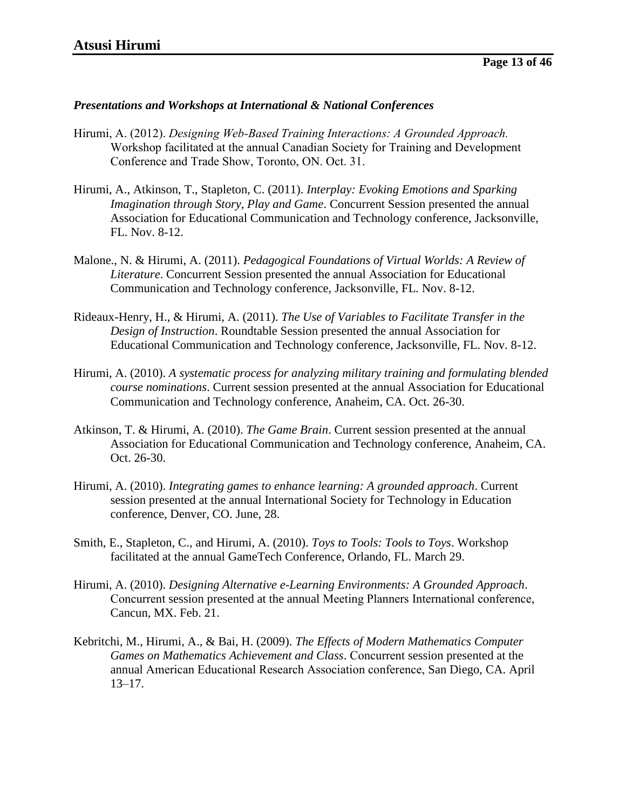#### *Presentations and Workshops at International & National Conferences*

- Hirumi, A. (2012). *Designing Web-Based Training Interactions: A Grounded Approach.* Workshop facilitated at the annual Canadian Society for Training and Development Conference and Trade Show, Toronto, ON. Oct. 31.
- Hirumi, A., Atkinson, T., Stapleton, C. (2011). *Interplay: Evoking Emotions and Sparking Imagination through Story, Play and Game*. Concurrent Session presented the annual Association for Educational Communication and Technology conference, Jacksonville, FL. Nov. 8-12.
- Malone., N. & Hirumi, A. (2011). *Pedagogical Foundations of Virtual Worlds: A Review of Literature*. Concurrent Session presented the annual Association for Educational Communication and Technology conference, Jacksonville, FL. Nov. 8-12.
- Rideaux-Henry, H., & Hirumi, A. (2011). *The Use of Variables to Facilitate Transfer in the Design of Instruction*. Roundtable Session presented the annual Association for Educational Communication and Technology conference, Jacksonville, FL. Nov. 8-12.
- Hirumi, A. (2010). *A systematic process for analyzing military training and formulating blended course nominations*. Current session presented at the annual Association for Educational Communication and Technology conference, Anaheim, CA. Oct. 26-30.
- Atkinson, T. & Hirumi, A. (2010). *The Game Brain*. Current session presented at the annual Association for Educational Communication and Technology conference, Anaheim, CA. Oct. 26-30.
- Hirumi, A. (2010). *Integrating games to enhance learning: A grounded approach*. Current session presented at the annual International Society for Technology in Education conference, Denver, CO. June, 28.
- Smith, E., Stapleton, C., and Hirumi, A. (2010). *Toys to Tools: Tools to Toys*. Workshop facilitated at the annual GameTech Conference, Orlando, FL. March 29.
- Hirumi, A. (2010). *Designing Alternative e-Learning Environments: A Grounded Approach*. Concurrent session presented at the annual Meeting Planners International conference, Cancun, MX. Feb. 21.
- Kebritchi, M., Hirumi, A., & Bai, H. (2009). *The Effects of Modern Mathematics Computer Games on Mathematics Achievement and Class*. Concurrent session presented at the annual American Educational Research Association conference, San Diego, CA. April 13–17.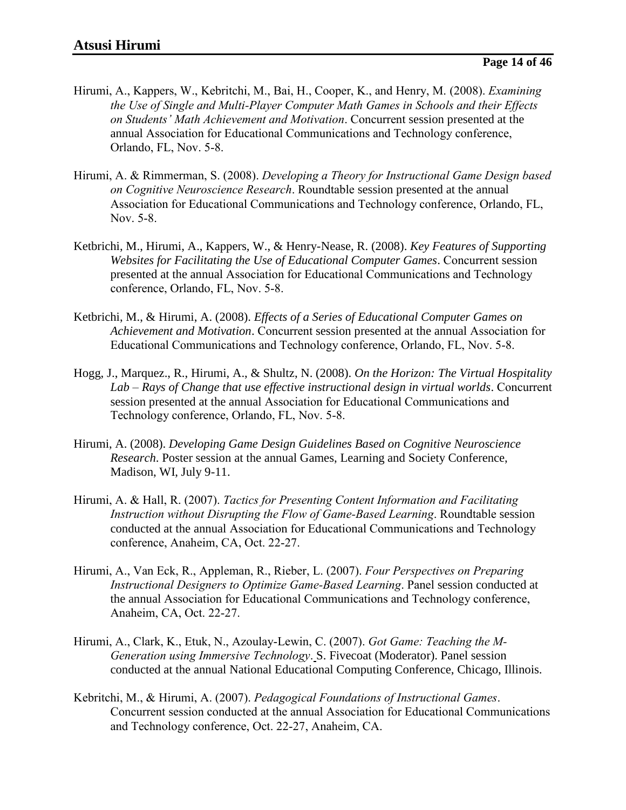- Hirumi, A., Kappers, W., Kebritchi, M., Bai, H., Cooper, K., and Henry, M. (2008). *Examining the Use of Single and Multi-Player Computer Math Games in Schools and their Effects on Students' Math Achievement and Motivation*. Concurrent session presented at the annual Association for Educational Communications and Technology conference, Orlando, FL, Nov. 5-8.
- Hirumi, A. & Rimmerman, S. (2008). *Developing a Theory for Instructional Game Design based on Cognitive Neuroscience Research*. Roundtable session presented at the annual Association for Educational Communications and Technology conference, Orlando, FL, Nov. 5-8.
- Ketbrichi, M., Hirumi, A., Kappers, W., & Henry-Nease, R. (2008). *Key Features of Supporting Websites for Facilitating the Use of Educational Computer Games*. Concurrent session presented at the annual Association for Educational Communications and Technology conference, Orlando, FL, Nov. 5-8.
- Ketbrichi, M., & Hirumi, A. (2008). *Effects of a Series of Educational Computer Games on Achievement and Motivation*. Concurrent session presented at the annual Association for Educational Communications and Technology conference, Orlando, FL, Nov. 5-8.
- Hogg, J., Marquez., R., Hirumi, A., & Shultz, N. (2008). *On the Horizon: The Virtual Hospitality Lab – Rays of Change that use effective instructional design in virtual worlds*. Concurrent session presented at the annual Association for Educational Communications and Technology conference, Orlando, FL, Nov. 5-8.
- Hirumi, A. (2008). *Developing Game Design Guidelines Based on Cognitive Neuroscience Research*. Poster session at the annual Games, Learning and Society Conference, Madison, WI, July 9-11.
- Hirumi, A. & Hall, R. (2007). *Tactics for Presenting Content Information and Facilitating Instruction without Disrupting the Flow of Game-Based Learning*. Roundtable session conducted at the annual Association for Educational Communications and Technology conference, Anaheim, CA, Oct. 22-27.
- Hirumi, A., Van Eck, R., Appleman, R., Rieber, L. (2007). *Four Perspectives on Preparing Instructional Designers to Optimize Game-Based Learning*. Panel session conducted at the annual Association for Educational Communications and Technology conference, Anaheim, CA, Oct. 22-27.
- Hirumi, A., Clark, K., Etuk, N., Azoulay-Lewin, C. (2007). *Got Game: Teaching the M-Generation using Immersive Technology*. S. Fivecoat (Moderator). Panel session conducted at the annual National Educational Computing Conference, Chicago, Illinois.
- Kebritchi, M., & Hirumi, A. (2007). *Pedagogical Foundations of Instructional Games*. Concurrent session conducted at the annual Association for Educational Communications and Technology conference, Oct. 22-27, Anaheim, CA.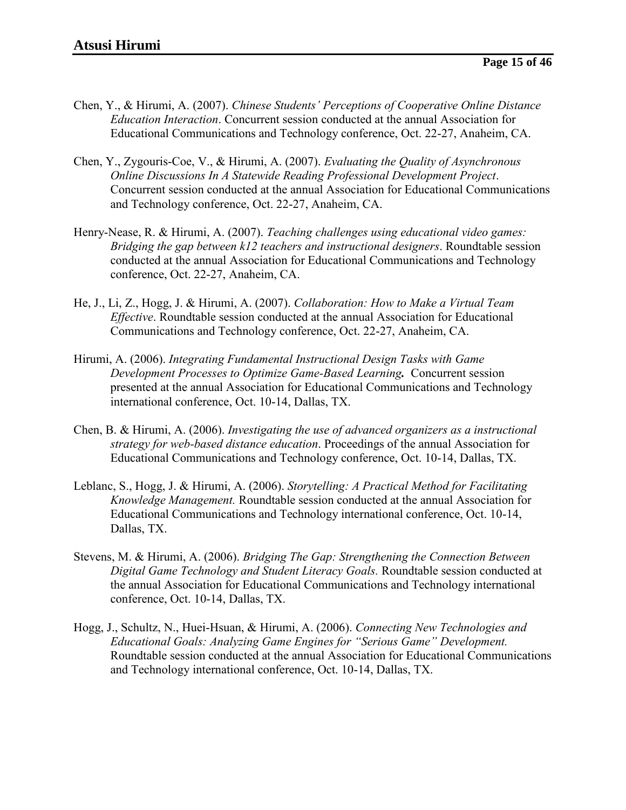- Chen, Y., & Hirumi, A. (2007). *Chinese Students' Perceptions of Cooperative Online Distance Education Interaction*. Concurrent session conducted at the annual Association for Educational Communications and Technology conference, Oct. 22-27, Anaheim, CA.
- Chen, Y., Zygouris-Coe, V., & Hirumi, A. (2007). *Evaluating the Quality of Asynchronous Online Discussions In A Statewide Reading Professional Development Project*. Concurrent session conducted at the annual Association for Educational Communications and Technology conference, Oct. 22-27, Anaheim, CA.
- Henry-Nease, R. & Hirumi, A. (2007). *Teaching challenges using educational video games: Bridging the gap between k12 teachers and instructional designers*. Roundtable session conducted at the annual Association for Educational Communications and Technology conference, Oct. 22-27, Anaheim, CA.
- He, J., Li, Z., Hogg, J. & Hirumi, A. (2007). *Collaboration: How to Make a Virtual Team Effective*. Roundtable session conducted at the annual Association for Educational Communications and Technology conference, Oct. 22-27, Anaheim, CA.
- Hirumi, A. (2006). *Integrating Fundamental Instructional Design Tasks with Game Development Processes to Optimize Game-Based Learning.* Concurrent session presented at the annual Association for Educational Communications and Technology international conference, Oct. 10-14, Dallas, TX.
- Chen, B. & Hirumi, A. (2006). *Investigating the use of advanced organizers as a instructional strategy for web-based distance education*. Proceedings of the annual Association for Educational Communications and Technology conference, Oct. 10-14, Dallas, TX.
- Leblanc, S., Hogg, J. & Hirumi, A. (2006). *Storytelling: A Practical Method for Facilitating Knowledge Management.* Roundtable session conducted at the annual Association for Educational Communications and Technology international conference, Oct. 10-14, Dallas, TX.
- Stevens, M. & Hirumi, A. (2006). *Bridging The Gap: Strengthening the Connection Between Digital Game Technology and Student Literacy Goals.* Roundtable session conducted at the annual Association for Educational Communications and Technology international conference, Oct. 10-14, Dallas, TX.
- Hogg, J., Schultz, N., Huei-Hsuan, & Hirumi, A. (2006). *Connecting New Technologies and Educational Goals: Analyzing Game Engines for "Serious Game" Development.* Roundtable session conducted at the annual Association for Educational Communications and Technology international conference, Oct. 10-14, Dallas, TX.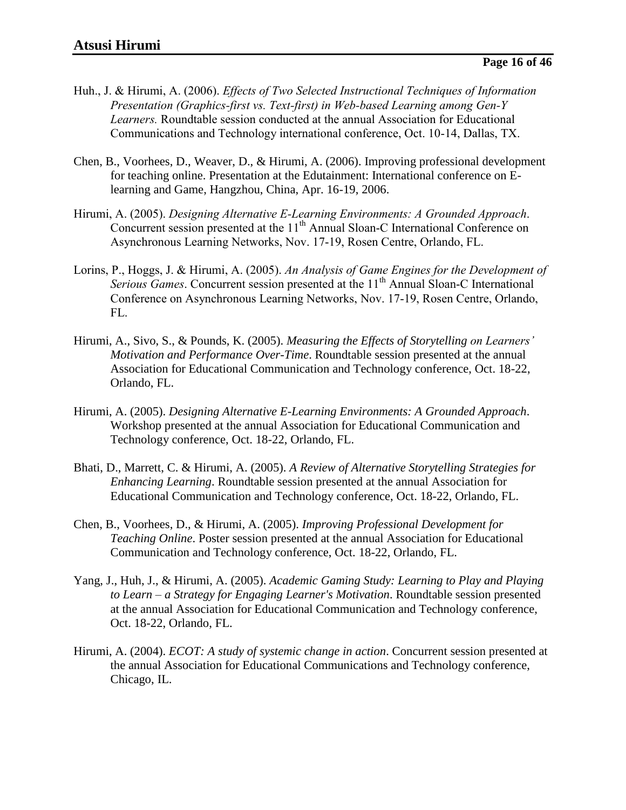- Huh., J. & Hirumi, A. (2006). *Effects of Two Selected Instructional Techniques of Information Presentation (Graphics-first vs. Text-first) in Web-based Learning among Gen-Y Learners.* Roundtable session conducted at the annual Association for Educational Communications and Technology international conference, Oct. 10-14, Dallas, TX.
- Chen, B., Voorhees, D., Weaver, D., & Hirumi, A. (2006). Improving professional development for teaching online. Presentation at the Edutainment: International conference on Elearning and Game, Hangzhou, China, Apr. 16-19, 2006.
- Hirumi, A. (2005). *Designing Alternative E-Learning Environments: A Grounded Approach*. Concurrent session presented at the  $11<sup>th</sup>$  Annual Sloan-C International Conference on Asynchronous Learning Networks, Nov. 17-19, Rosen Centre, Orlando, FL.
- Lorins, P., Hoggs, J. & Hirumi, A. (2005). *An Analysis of Game Engines for the Development of Serious Games.* Concurrent session presented at the 11<sup>th</sup> Annual Sloan-C International Conference on Asynchronous Learning Networks, Nov. 17-19, Rosen Centre, Orlando, FL.
- Hirumi, A., Sivo, S., & Pounds, K. (2005). *Measuring the Effects of Storytelling on Learners' Motivation and Performance Over-Time*. Roundtable session presented at the annual Association for Educational Communication and Technology conference, Oct. 18-22, Orlando, FL.
- Hirumi, A. (2005). *Designing Alternative E-Learning Environments: A Grounded Approach*. Workshop presented at the annual Association for Educational Communication and Technology conference, Oct. 18-22, Orlando, FL.
- Bhati, D., Marrett, C. & Hirumi, A. (2005). *A Review of Alternative Storytelling Strategies for Enhancing Learning*. Roundtable session presented at the annual Association for Educational Communication and Technology conference, Oct. 18-22, Orlando, FL.
- Chen, B., Voorhees, D., & Hirumi, A. (2005). *Improving Professional Development for Teaching Online*. Poster session presented at the annual Association for Educational Communication and Technology conference, Oct. 18-22, Orlando, FL.
- Yang, J., Huh, J., & Hirumi, A. (2005). *Academic Gaming Study: Learning to Play and Playing to Learn – a Strategy for Engaging Learner's Motivation*. Roundtable session presented at the annual Association for Educational Communication and Technology conference, Oct. 18-22, Orlando, FL.
- Hirumi, A. (2004). *ECOT: A study of systemic change in action*. Concurrent session presented at the annual Association for Educational Communications and Technology conference, Chicago, IL.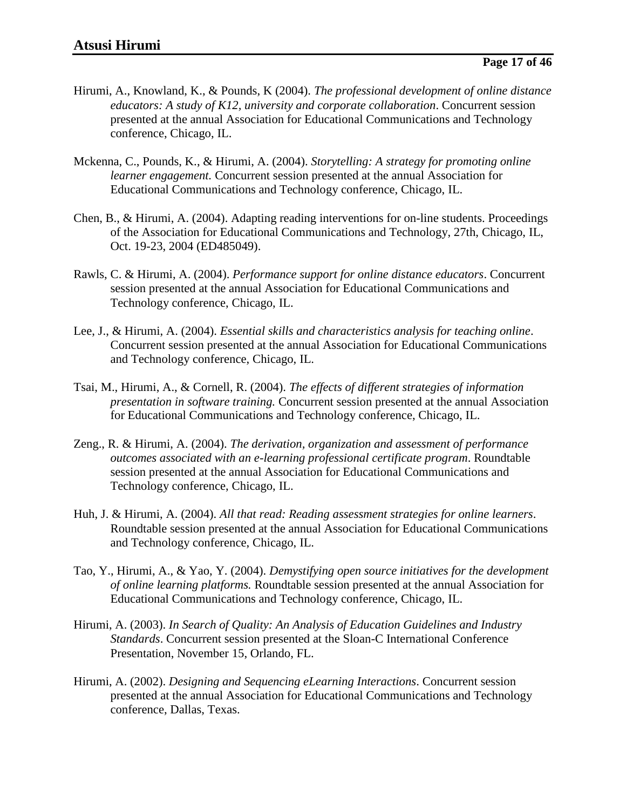- Hirumi, A., Knowland, K., & Pounds, K (2004). *The professional development of online distance educators: A study of K12, university and corporate collaboration*. Concurrent session presented at the annual Association for Educational Communications and Technology conference, Chicago, IL.
- Mckenna, C., Pounds, K., & Hirumi, A. (2004). *Storytelling: A strategy for promoting online learner engagement.* Concurrent session presented at the annual Association for Educational Communications and Technology conference, Chicago, IL.
- Chen, B., & Hirumi, A. (2004). Adapting reading interventions for on-line students. Proceedings of the Association for Educational Communications and Technology, 27th, Chicago, IL, Oct. 19-23, 2004 (ED485049).
- Rawls, C. & Hirumi, A. (2004). *Performance support for online distance educators*. Concurrent session presented at the annual Association for Educational Communications and Technology conference, Chicago, IL.
- Lee, J., & Hirumi, A. (2004). *Essential skills and characteristics analysis for teaching online*. Concurrent session presented at the annual Association for Educational Communications and Technology conference, Chicago, IL.
- Tsai, M., Hirumi, A., & Cornell, R. (2004). *The effects of different strategies of information presentation in software training.* Concurrent session presented at the annual Association for Educational Communications and Technology conference, Chicago, IL.
- Zeng., R. & Hirumi, A. (2004). *The derivation, organization and assessment of performance outcomes associated with an e-learning professional certificate program*. Roundtable session presented at the annual Association for Educational Communications and Technology conference, Chicago, IL.
- Huh, J. & Hirumi, A. (2004). *All that read: Reading assessment strategies for online learners*. Roundtable session presented at the annual Association for Educational Communications and Technology conference, Chicago, IL.
- Tao, Y., Hirumi, A., & Yao, Y. (2004). *Demystifying open source initiatives for the development of online learning platforms.* Roundtable session presented at the annual Association for Educational Communications and Technology conference, Chicago, IL.
- Hirumi, A. (2003). *In Search of Quality: An Analysis of Education Guidelines and Industry Standards*. Concurrent session presented at the Sloan-C International Conference Presentation, November 15, Orlando, FL.
- Hirumi, A. (2002). *Designing and Sequencing eLearning Interactions*. Concurrent session presented at the annual Association for Educational Communications and Technology conference, Dallas, Texas.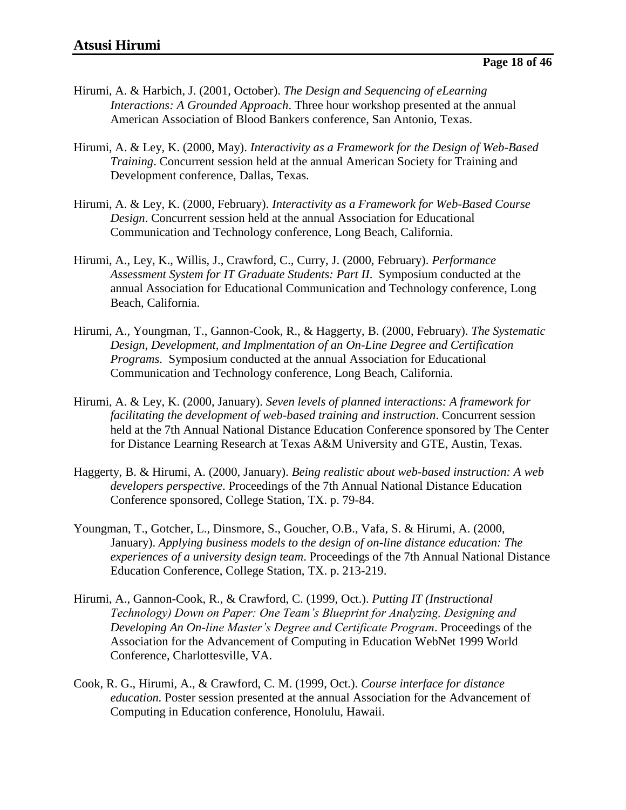- Hirumi, A. & Harbich, J. (2001, October). *The Design and Sequencing of eLearning Interactions: A Grounded Approach*. Three hour workshop presented at the annual American Association of Blood Bankers conference, San Antonio, Texas.
- Hirumi, A. & Ley, K. (2000, May). *Interactivity as a Framework for the Design of Web-Based Training*. Concurrent session held at the annual American Society for Training and Development conference, Dallas, Texas.
- Hirumi, A. & Ley, K. (2000, February). *Interactivity as a Framework for Web-Based Course Design*. Concurrent session held at the annual Association for Educational Communication and Technology conference, Long Beach, California.
- Hirumi, A., Ley, K., Willis, J., Crawford, C., Curry, J. (2000, February). *Performance Assessment System for IT Graduate Students: Part II*. Symposium conducted at the annual Association for Educational Communication and Technology conference, Long Beach, California.
- Hirumi, A., Youngman, T., Gannon-Cook, R., & Haggerty, B. (2000, February). *The Systematic Design, Development, and Implmentation of an On-Line Degree and Certification Programs*. Symposium conducted at the annual Association for Educational Communication and Technology conference, Long Beach, California.
- Hirumi, A. & Ley, K. (2000, January). *Seven levels of planned interactions: A framework for facilitating the development of web-based training and instruction*. Concurrent session held at the 7th Annual National Distance Education Conference sponsored by The Center for Distance Learning Research at Texas A&M University and GTE, Austin, Texas.
- Haggerty, B. & Hirumi, A. (2000, January). *Being realistic about web-based instruction: A web developers perspective*. Proceedings of the 7th Annual National Distance Education Conference sponsored, College Station, TX. p. 79-84.
- Youngman, T., Gotcher, L., Dinsmore, S., Goucher, O.B., Vafa, S. & Hirumi, A. (2000, January). *Applying business models to the design of on-line distance education: The experiences of a university design team*. Proceedings of the 7th Annual National Distance Education Conference, College Station, TX. p. 213-219.
- Hirumi, A., Gannon-Cook, R., & Crawford, C. (1999, Oct.). *Putting IT (Instructional Technology) Down on Paper: One Team's Blueprint for Analyzing, Designing and Developing An On-line Master's Degree and Certificate Program*. Proceedings of the Association for the Advancement of Computing in Education WebNet 1999 World Conference, Charlottesville, VA.
- Cook, R. G., Hirumi, A., & Crawford, C. M. (1999, Oct.). *Course interface for distance education.* Poster session presented at the annual Association for the Advancement of Computing in Education conference, Honolulu, Hawaii.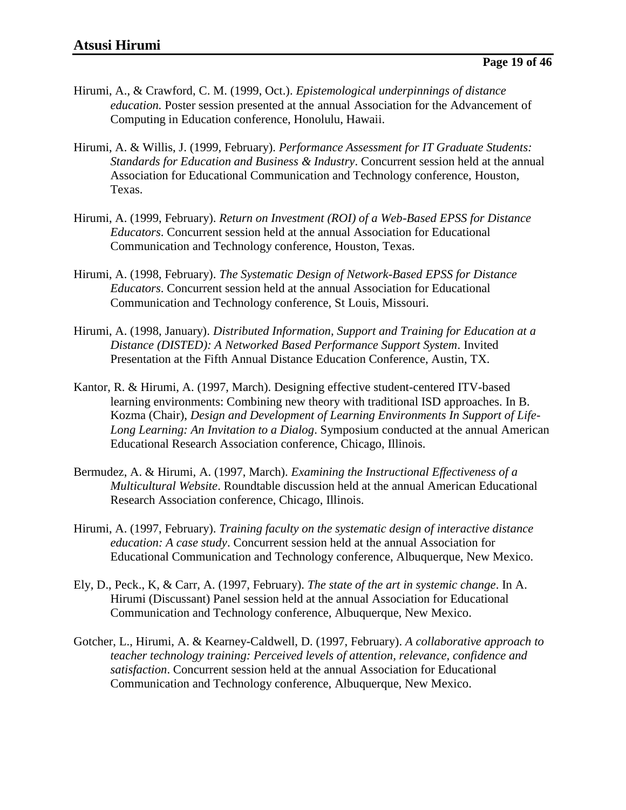- Hirumi, A., & Crawford, C. M. (1999, Oct.). *Epistemological underpinnings of distance education.* Poster session presented at the annual Association for the Advancement of Computing in Education conference, Honolulu, Hawaii.
- Hirumi, A. & Willis, J. (1999, February). *Performance Assessment for IT Graduate Students: Standards for Education and Business & Industry*. Concurrent session held at the annual Association for Educational Communication and Technology conference, Houston, Texas.
- Hirumi, A. (1999, February). *Return on Investment (ROI) of a Web-Based EPSS for Distance Educators*. Concurrent session held at the annual Association for Educational Communication and Technology conference, Houston, Texas.
- Hirumi, A. (1998, February). *The Systematic Design of Network-Based EPSS for Distance Educators*. Concurrent session held at the annual Association for Educational Communication and Technology conference, St Louis, Missouri.
- Hirumi, A. (1998, January). *Distributed Information, Support and Training for Education at a Distance (DISTED): A Networked Based Performance Support System*. Invited Presentation at the Fifth Annual Distance Education Conference, Austin, TX.
- Kantor, R. & Hirumi, A. (1997, March). Designing effective student-centered ITV-based learning environments: Combining new theory with traditional ISD approaches. In B. Kozma (Chair), *Design and Development of Learning Environments In Support of Life-Long Learning: An Invitation to a Dialog*. Symposium conducted at the annual American Educational Research Association conference, Chicago, Illinois.
- Bermudez, A. & Hirumi, A. (1997, March). *Examining the Instructional Effectiveness of a Multicultural Website*. Roundtable discussion held at the annual American Educational Research Association conference, Chicago, Illinois.
- Hirumi, A. (1997, February). *Training faculty on the systematic design of interactive distance education: A case study*. Concurrent session held at the annual Association for Educational Communication and Technology conference, Albuquerque, New Mexico.
- Ely, D., Peck., K, & Carr, A. (1997, February). *The state of the art in systemic change*. In A. Hirumi (Discussant) Panel session held at the annual Association for Educational Communication and Technology conference, Albuquerque, New Mexico.
- Gotcher, L., Hirumi, A. & Kearney-Caldwell, D. (1997, February). *A collaborative approach to teacher technology training: Perceived levels of attention, relevance, confidence and satisfaction*. Concurrent session held at the annual Association for Educational Communication and Technology conference, Albuquerque, New Mexico.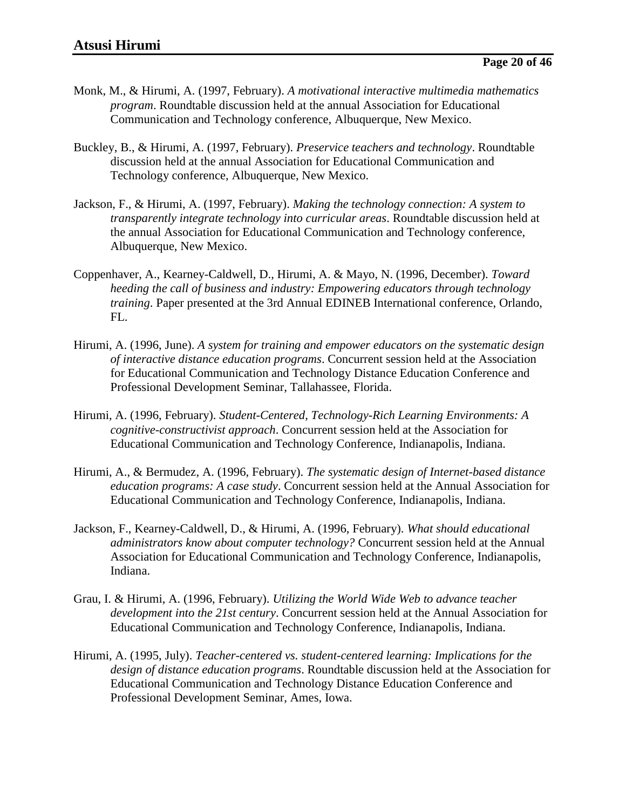- Monk, M., & Hirumi, A. (1997, February). *A motivational interactive multimedia mathematics program*. Roundtable discussion held at the annual Association for Educational Communication and Technology conference, Albuquerque, New Mexico.
- Buckley, B., & Hirumi, A. (1997, February). *Preservice teachers and technology*. Roundtable discussion held at the annual Association for Educational Communication and Technology conference, Albuquerque, New Mexico.
- Jackson, F., & Hirumi, A. (1997, February). *Making the technology connection: A system to transparently integrate technology into curricular areas*. Roundtable discussion held at the annual Association for Educational Communication and Technology conference, Albuquerque, New Mexico.
- Coppenhaver, A., Kearney-Caldwell, D., Hirumi, A. & Mayo, N. (1996, December). *Toward heeding the call of business and industry: Empowering educators through technology training*. Paper presented at the 3rd Annual EDINEB International conference, Orlando, FL.
- Hirumi, A. (1996, June). *A system for training and empower educators on the systematic design of interactive distance education programs*. Concurrent session held at the Association for Educational Communication and Technology Distance Education Conference and Professional Development Seminar, Tallahassee, Florida.
- Hirumi, A. (1996, February). *Student-Centered, Technology-Rich Learning Environments: A cognitive-constructivist approach*. Concurrent session held at the Association for Educational Communication and Technology Conference, Indianapolis, Indiana.
- Hirumi, A., & Bermudez, A. (1996, February). *The systematic design of Internet-based distance education programs: A case study*. Concurrent session held at the Annual Association for Educational Communication and Technology Conference, Indianapolis, Indiana.
- Jackson, F., Kearney-Caldwell, D., & Hirumi, A. (1996, February). *What should educational administrators know about computer technology?* Concurrent session held at the Annual Association for Educational Communication and Technology Conference, Indianapolis, Indiana.
- Grau, I. & Hirumi, A. (1996, February). *Utilizing the World Wide Web to advance teacher development into the 21st century*. Concurrent session held at the Annual Association for Educational Communication and Technology Conference, Indianapolis, Indiana.
- Hirumi, A. (1995, July). *Teacher-centered vs. student-centered learning: Implications for the design of distance education programs*. Roundtable discussion held at the Association for Educational Communication and Technology Distance Education Conference and Professional Development Seminar, Ames, Iowa.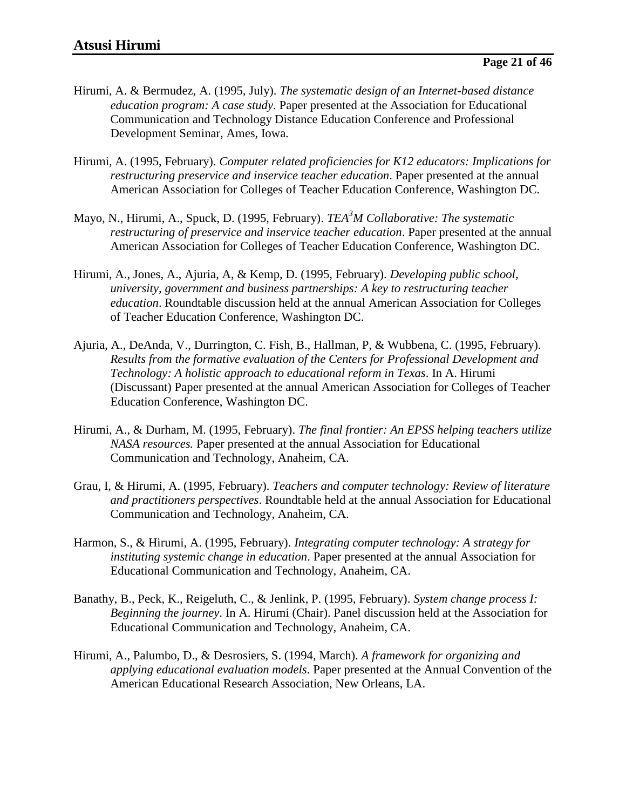- Hirumi, A. & Bermudez, A. (1995, July). *The systematic design of an Internet-based distance education program: A case study*. Paper presented at the Association for Educational Communication and Technology Distance Education Conference and Professional Development Seminar, Ames, Iowa.
- Hirumi, A. (1995, February). *Computer related proficiencies for K12 educators: Implications for restructuring preservice and inservice teacher education*. Paper presented at the annual American Association for Colleges of Teacher Education Conference, Washington DC.
- Mayo, N., Hirumi, A., Spuck, D. (1995, February). *TEA<sup>3</sup>M Collaborative: The systematic restructuring of preservice and inservice teacher education*. Paper presented at the annual American Association for Colleges of Teacher Education Conference, Washington DC.
- Hirumi, A., Jones, A., Ajuria, A, & Kemp, D. (1995, February). *Developing public school, university, government and business partnerships: A key to restructuring teacher education*. Roundtable discussion held at the annual American Association for Colleges of Teacher Education Conference, Washington DC.
- Ajuria, A., DeAnda, V., Durrington, C. Fish, B., Hallman, P, & Wubbena, C. (1995, February). *Results from the formative evaluation of the Centers for Professional Development and Technology: A holistic approach to educational reform in Texas*. In A. Hirumi (Discussant) Paper presented at the annual American Association for Colleges of Teacher Education Conference, Washington DC.
- Hirumi, A., & Durham, M. (1995, February). *The final frontier: An EPSS helping teachers utilize NASA resources.* Paper presented at the annual Association for Educational Communication and Technology, Anaheim, CA.
- Grau, I, & Hirumi, A. (1995, February). *Teachers and computer technology: Review of literature and practitioners perspectives*. Roundtable held at the annual Association for Educational Communication and Technology, Anaheim, CA.
- Harmon, S., & Hirumi, A. (1995, February). *Integrating computer technology: A strategy for instituting systemic change in education*. Paper presented at the annual Association for Educational Communication and Technology, Anaheim, CA.
- Banathy, B., Peck, K., Reigeluth, C., & Jenlink, P. (1995, February). *System change process I: Beginning the journey*. In A. Hirumi (Chair). Panel discussion held at the Association for Educational Communication and Technology, Anaheim, CA.
- Hirumi, A., Palumbo, D., & Desrosiers, S. (1994, March). *A framework for organizing and applying educational evaluation models*. Paper presented at the Annual Convention of the American Educational Research Association, New Orleans, LA.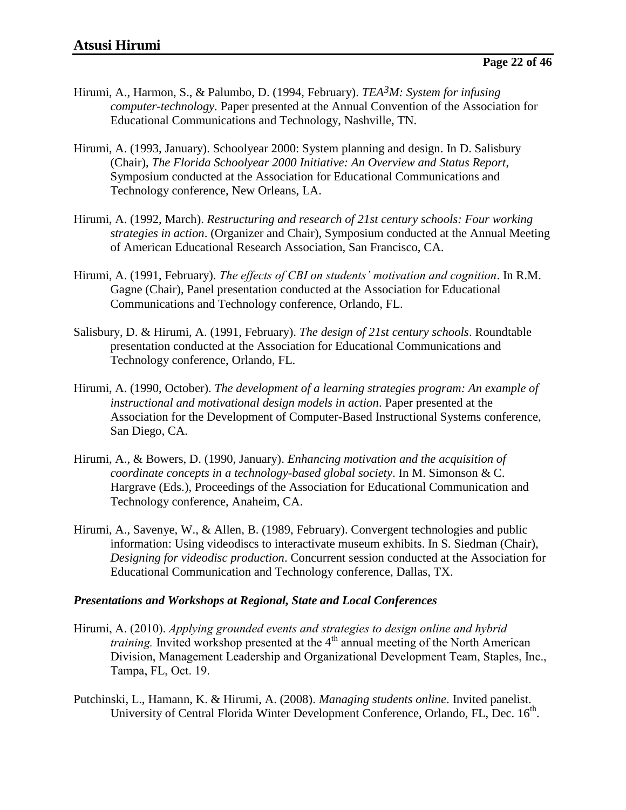- Hirumi, A., Harmon, S., & Palumbo, D. (1994, February). *TEA3M: System for infusing computer-technology.* Paper presented at the Annual Convention of the Association for Educational Communications and Technology, Nashville, TN.
- Hirumi, A. (1993, January). Schoolyear 2000: System planning and design. In D. Salisbury (Chair), *The Florida Schoolyear 2000 Initiative: An Overview and Status Report*, Symposium conducted at the Association for Educational Communications and Technology conference, New Orleans, LA.
- Hirumi, A. (1992, March). *Restructuring and research of 21st century schools: Four working strategies in action*. (Organizer and Chair), Symposium conducted at the Annual Meeting of American Educational Research Association, San Francisco, CA.
- Hirumi, A. (1991, February). *The effects of CBI on students' motivation and cognition*. In R.M. Gagne (Chair), Panel presentation conducted at the Association for Educational Communications and Technology conference, Orlando, FL.
- Salisbury, D. & Hirumi, A. (1991, February). *The design of 21st century schools*. Roundtable presentation conducted at the Association for Educational Communications and Technology conference, Orlando, FL.
- Hirumi, A. (1990, October). *The development of a learning strategies program: An example of instructional and motivational design models in action*. Paper presented at the Association for the Development of Computer-Based Instructional Systems conference, San Diego, CA.
- Hirumi, A., & Bowers, D. (1990, January). *Enhancing motivation and the acquisition of coordinate concepts in a technology-based global society*. In M. Simonson & C. Hargrave (Eds.), Proceedings of the Association for Educational Communication and Technology conference, Anaheim, CA.
- Hirumi, A., Savenye, W., & Allen, B. (1989, February). Convergent technologies and public information: Using videodiscs to interactivate museum exhibits. In S. Siedman (Chair), *Designing for videodisc production*. Concurrent session conducted at the Association for Educational Communication and Technology conference, Dallas, TX.

#### *Presentations and Workshops at Regional, State and Local Conferences*

- Hirumi, A. (2010). *Applying grounded events and strategies to design online and hybrid training.* Invited workshop presented at the 4<sup>th</sup> annual meeting of the North American Division, Management Leadership and Organizational Development Team, Staples, Inc., Tampa, FL, Oct. 19.
- Putchinski, L., Hamann, K. & Hirumi, A. (2008). *Managing students online*. Invited panelist. University of Central Florida Winter Development Conference, Orlando, FL, Dec. 16<sup>th</sup>.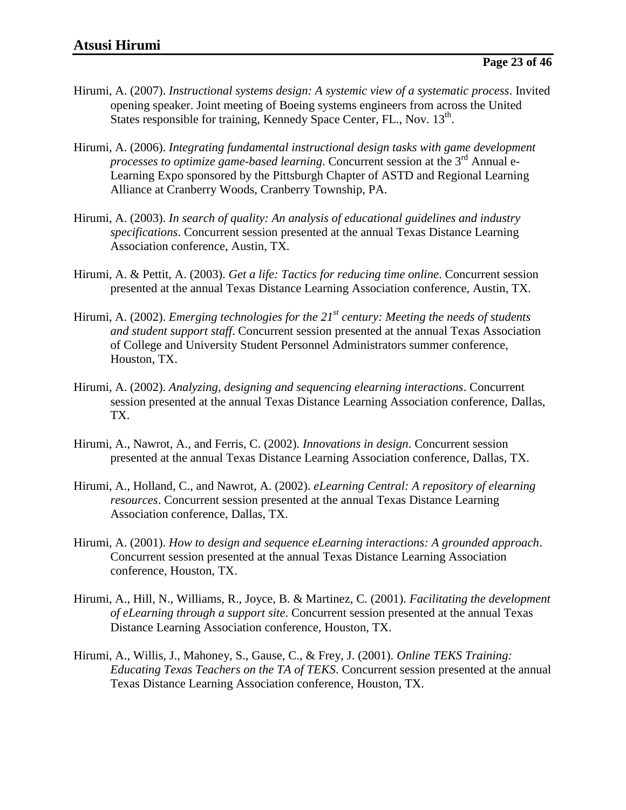- Hirumi, A. (2007). *Instructional systems design: A systemic view of a systematic process*. Invited opening speaker. Joint meeting of Boeing systems engineers from across the United States responsible for training, Kennedy Space Center, FL., Nov. 13<sup>th</sup>.
- Hirumi, A. (2006). *Integrating fundamental instructional design tasks with game development processes to optimize game-based learning*. Concurrent session at the 3<sup>rd</sup> Annual e-Learning Expo sponsored by the Pittsburgh Chapter of ASTD and Regional Learning Alliance at Cranberry Woods, Cranberry Township, PA.
- Hirumi, A. (2003). *In search of quality: An analysis of educational guidelines and industry specifications*. Concurrent session presented at the annual Texas Distance Learning Association conference, Austin, TX.
- Hirumi, A. & Pettit, A. (2003). *Get a life: Tactics for reducing time online*. Concurrent session presented at the annual Texas Distance Learning Association conference, Austin, TX.
- Hirumi, A. (2002). *Emerging technologies for the 21st century: Meeting the needs of students and student support staff*. Concurrent session presented at the annual Texas Association of College and University Student Personnel Administrators summer conference, Houston, TX.
- Hirumi, A. (2002). *Analyzing, designing and sequencing elearning interactions*. Concurrent session presented at the annual Texas Distance Learning Association conference, Dallas, TX.
- Hirumi, A., Nawrot, A., and Ferris, C. (2002). *Innovations in design*. Concurrent session presented at the annual Texas Distance Learning Association conference, Dallas, TX.
- Hirumi, A., Holland, C., and Nawrot, A. (2002). *eLearning Central: A repository of elearning resources*. Concurrent session presented at the annual Texas Distance Learning Association conference, Dallas, TX.
- Hirumi, A. (2001). *How to design and sequence eLearning interactions: A grounded approach*. Concurrent session presented at the annual Texas Distance Learning Association conference, Houston, TX.
- Hirumi, A., Hill, N., Williams, R., Joyce, B. & Martinez, C. (2001). *Facilitating the development of eLearning through a support site*. Concurrent session presented at the annual Texas Distance Learning Association conference, Houston, TX.
- Hirumi, A., Willis, J., Mahoney, S., Gause, C., & Frey, J. (2001). *Online TEKS Training: Educating Texas Teachers on the TA of TEKS*. Concurrent session presented at the annual Texas Distance Learning Association conference, Houston, TX.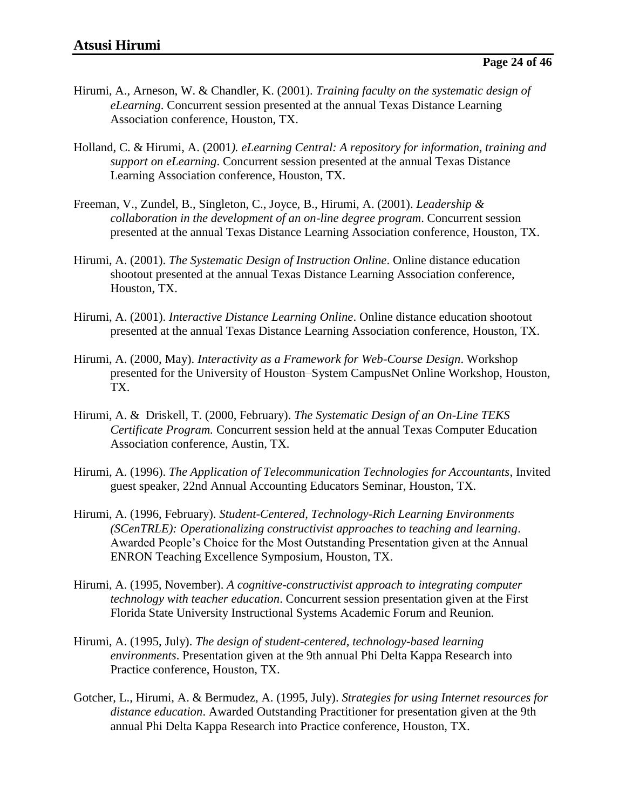- Hirumi, A., Arneson, W. & Chandler, K. (2001). *Training faculty on the systematic design of eLearning*. Concurrent session presented at the annual Texas Distance Learning Association conference, Houston, TX.
- Holland, C. & Hirumi, A. (2001*). eLearning Central: A repository for information, training and support on eLearning*. Concurrent session presented at the annual Texas Distance Learning Association conference, Houston, TX.
- Freeman, V., Zundel, B., Singleton, C., Joyce, B., Hirumi, A. (2001). *Leadership & collaboration in the development of an on-line degree program*. Concurrent session presented at the annual Texas Distance Learning Association conference, Houston, TX.
- Hirumi, A. (2001). *The Systematic Design of Instruction Online*. Online distance education shootout presented at the annual Texas Distance Learning Association conference, Houston, TX.
- Hirumi, A. (2001). *Interactive Distance Learning Online*. Online distance education shootout presented at the annual Texas Distance Learning Association conference, Houston, TX.
- Hirumi, A. (2000, May). *Interactivity as a Framework for Web-Course Design*. Workshop presented for the University of Houston–System CampusNet Online Workshop, Houston, TX.
- Hirumi, A. & Driskell, T. (2000, February). *The Systematic Design of an On-Line TEKS Certificate Program.* Concurrent session held at the annual Texas Computer Education Association conference, Austin, TX.
- Hirumi, A. (1996). *The Application of Telecommunication Technologies for Accountants*, Invited guest speaker, 22nd Annual Accounting Educators Seminar, Houston, TX.
- Hirumi, A. (1996, February). *Student-Centered, Technology-Rich Learning Environments (SCenTRLE): Operationalizing constructivist approaches to teaching and learning*. Awarded People's Choice for the Most Outstanding Presentation given at the Annual ENRON Teaching Excellence Symposium, Houston, TX.
- Hirumi, A. (1995, November). *A cognitive-constructivist approach to integrating computer technology with teacher education*. Concurrent session presentation given at the First Florida State University Instructional Systems Academic Forum and Reunion.
- Hirumi, A. (1995, July). *The design of student-centered, technology-based learning environments*. Presentation given at the 9th annual Phi Delta Kappa Research into Practice conference, Houston, TX.
- Gotcher, L., Hirumi, A. & Bermudez, A. (1995, July). *Strategies for using Internet resources for distance education*. Awarded Outstanding Practitioner for presentation given at the 9th annual Phi Delta Kappa Research into Practice conference, Houston, TX.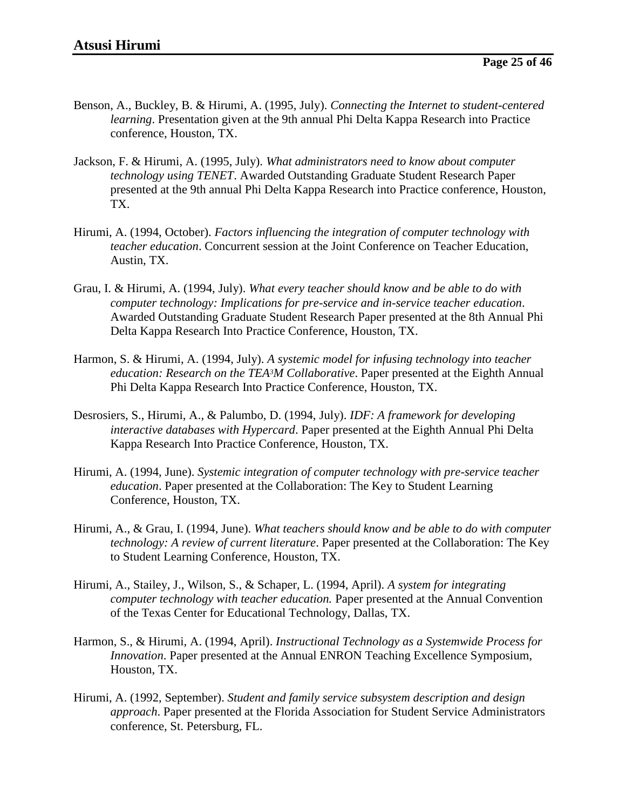- Benson, A., Buckley, B. & Hirumi, A. (1995, July). *Connecting the Internet to student-centered learning*. Presentation given at the 9th annual Phi Delta Kappa Research into Practice conference, Houston, TX.
- Jackson, F. & Hirumi, A. (1995, July). *What administrators need to know about computer technology using TENET*. Awarded Outstanding Graduate Student Research Paper presented at the 9th annual Phi Delta Kappa Research into Practice conference, Houston, TX.
- Hirumi, A. (1994, October). *Factors influencing the integration of computer technology with teacher education*. Concurrent session at the Joint Conference on Teacher Education, Austin, TX.
- Grau, I. & Hirumi, A. (1994, July). *What every teacher should know and be able to do with computer technology: Implications for pre-service and in-service teacher education*. Awarded Outstanding Graduate Student Research Paper presented at the 8th Annual Phi Delta Kappa Research Into Practice Conference, Houston, TX.
- Harmon, S. & Hirumi, A. (1994, July). *A systemic model for infusing technology into teacher education: Research on the TEA3M Collaborative*. Paper presented at the Eighth Annual Phi Delta Kappa Research Into Practice Conference, Houston, TX.
- Desrosiers, S., Hirumi, A., & Palumbo, D. (1994, July). *IDF: A framework for developing interactive databases with Hypercard*. Paper presented at the Eighth Annual Phi Delta Kappa Research Into Practice Conference, Houston, TX.
- Hirumi, A. (1994, June). *Systemic integration of computer technology with pre-service teacher education*. Paper presented at the Collaboration: The Key to Student Learning Conference, Houston, TX.
- Hirumi, A., & Grau, I. (1994, June). *What teachers should know and be able to do with computer technology: A review of current literature*. Paper presented at the Collaboration: The Key to Student Learning Conference, Houston, TX.
- Hirumi, A., Stailey, J., Wilson, S., & Schaper, L. (1994, April). *A system for integrating computer technology with teacher education.* Paper presented at the Annual Convention of the Texas Center for Educational Technology, Dallas, TX.
- Harmon, S., & Hirumi, A. (1994, April). *Instructional Technology as a Systemwide Process for Innovation*. Paper presented at the Annual ENRON Teaching Excellence Symposium, Houston, TX.
- Hirumi, A. (1992, September). *Student and family service subsystem description and design approach*. Paper presented at the Florida Association for Student Service Administrators conference, St. Petersburg, FL.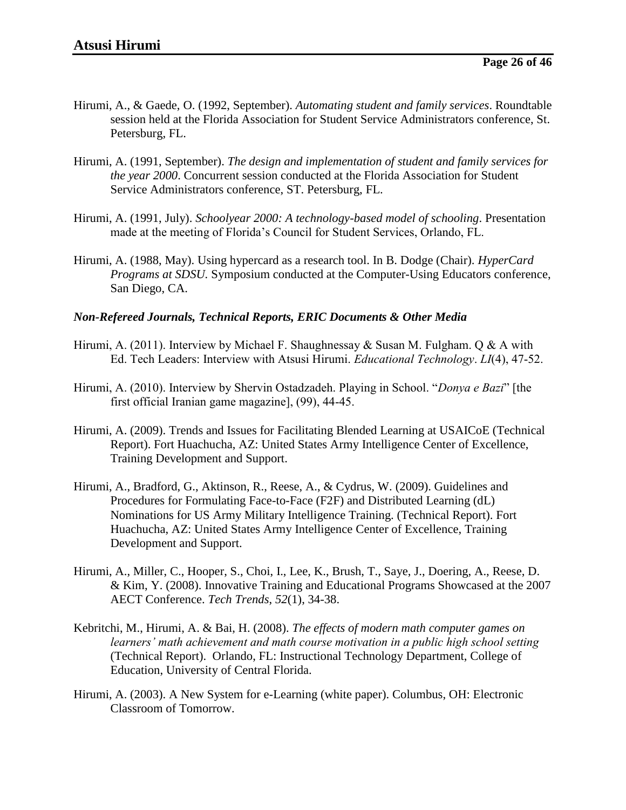- Hirumi, A., & Gaede, O. (1992, September). *Automating student and family services*. Roundtable session held at the Florida Association for Student Service Administrators conference, St. Petersburg, FL.
- Hirumi, A. (1991, September). *The design and implementation of student and family services for the year 2000*. Concurrent session conducted at the Florida Association for Student Service Administrators conference, ST. Petersburg, FL.
- Hirumi, A. (1991, July). *Schoolyear 2000: A technology-based model of schooling*. Presentation made at the meeting of Florida's Council for Student Services, Orlando, FL.
- Hirumi, A. (1988, May). Using hypercard as a research tool. In B. Dodge (Chair). *HyperCard Programs at SDSU.* Symposium conducted at the Computer-Using Educators conference, San Diego, CA.

#### *Non-Refereed Journals, Technical Reports, ERIC Documents & Other Media*

- Hirumi, A. (2011). Interview by Michael F. Shaughnessay & Susan M. Fulgham. O & A with Ed. Tech Leaders: Interview with Atsusi Hirumi. *Educational Technology*. *LI*(4), 47-52.
- Hirumi, A. (2010). Interview by Shervin Ostadzadeh. Playing in School. "*Donya e Bazi*" [the first official Iranian game magazine], (99), 44-45.
- Hirumi, A. (2009). Trends and Issues for Facilitating Blended Learning at USAICoE (Technical Report). Fort Huachucha, AZ: United States Army Intelligence Center of Excellence, Training Development and Support.
- Hirumi, A., Bradford, G., Aktinson, R., Reese, A., & Cydrus, W. (2009). Guidelines and Procedures for Formulating Face-to-Face (F2F) and Distributed Learning (dL) Nominations for US Army Military Intelligence Training. (Technical Report). Fort Huachucha, AZ: United States Army Intelligence Center of Excellence, Training Development and Support.
- Hirumi, A., Miller, C., Hooper, S., Choi, I., Lee, K., Brush, T., Saye, J., Doering, A., Reese, D. & Kim, Y. (2008). Innovative Training and Educational Programs Showcased at the 2007 AECT Conference. *Tech Trends*, *52*(1), 34-38.
- Kebritchi, M., Hirumi, A. & Bai, H. (2008). *The effects of modern math computer games on learners' math achievement and math course motivation in a public high school setting* (Technical Report). Orlando, FL: Instructional Technology Department, College of Education, University of Central Florida.
- Hirumi, A. (2003). A New System for e-Learning (white paper). Columbus, OH: Electronic Classroom of Tomorrow.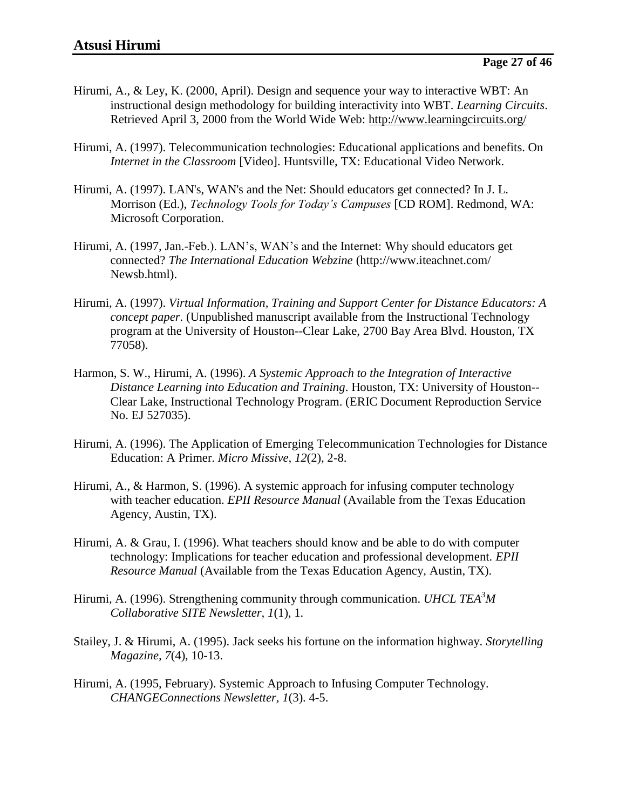- Hirumi, A., & Ley, K. (2000, April). Design and sequence your way to interactive WBT: An instructional design methodology for building interactivity into WBT. *Learning Circuits*. Retrieved April 3, 2000 from the World Wide Web:<http://www.learningcircuits.org/>
- Hirumi, A. (1997). Telecommunication technologies: Educational applications and benefits. On *Internet in the Classroom* [Video]. Huntsville, TX: Educational Video Network.
- Hirumi, A. (1997). LAN's, WAN's and the Net: Should educators get connected? In J. L. Morrison (Ed.), *Technology Tools for Today's Campuses* [CD ROM]. Redmond, WA: Microsoft Corporation.
- Hirumi, A. (1997, Jan.-Feb.). LAN's, WAN's and the Internet: Why should educators get connected? *The International Education Webzine* (http://www.iteachnet.com/ Newsb.html).
- Hirumi, A. (1997). *Virtual Information, Training and Support Center for Distance Educators: A concept paper*. (Unpublished manuscript available from the Instructional Technology program at the University of Houston--Clear Lake, 2700 Bay Area Blvd. Houston, TX 77058).
- Harmon, S. W., Hirumi, A. (1996). *A Systemic Approach to the Integration of Interactive Distance Learning into Education and Training*. Houston, TX: University of Houston-- Clear Lake, Instructional Technology Program. (ERIC Document Reproduction Service No. EJ 527035).
- Hirumi, A. (1996). The Application of Emerging Telecommunication Technologies for Distance Education: A Primer. *Micro Missive, 12*(2), 2-8.
- Hirumi, A., & Harmon, S. (1996). A systemic approach for infusing computer technology with teacher education. *EPII Resource Manual* (Available from the Texas Education Agency, Austin, TX).
- Hirumi, A. & Grau, I. (1996). What teachers should know and be able to do with computer technology: Implications for teacher education and professional development. *EPII Resource Manual* (Available from the Texas Education Agency, Austin, TX).
- Hirumi, A. (1996). Strengthening community through communication. *UHCL TEA<sup>3</sup>M Collaborative SITE Newsletter, 1*(1), 1.
- Stailey, J. & Hirumi, A. (1995). Jack seeks his fortune on the information highway. *Storytelling Magazine, 7*(4), 10-13.
- Hirumi, A. (1995, February). Systemic Approach to Infusing Computer Technology. *CHANGEConnections Newsletter, 1*(3). 4-5.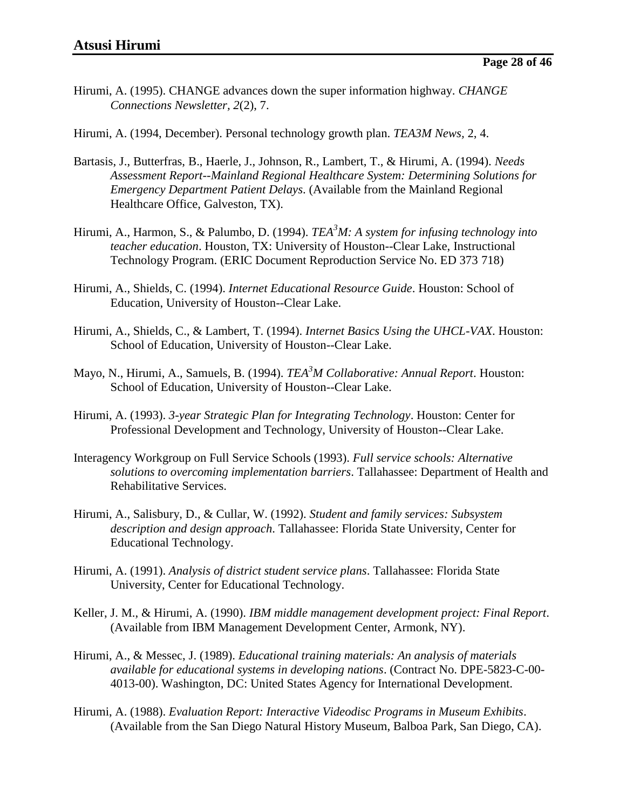Hirumi, A. (1995). CHANGE advances down the super information highway. *CHANGE Connections Newsletter, 2*(2), 7.

Hirumi, A. (1994, December). Personal technology growth plan. *TEA3M News,* 2, 4.

- Bartasis, J., Butterfras, B., Haerle, J., Johnson, R., Lambert, T., & Hirumi, A. (1994). *Needs Assessment Report--Mainland Regional Healthcare System: Determining Solutions for Emergency Department Patient Delays*. (Available from the Mainland Regional Healthcare Office, Galveston, TX).
- Hirumi, A., Harmon, S., & Palumbo, D. (1994). *TEA<sup>3</sup>M: A system for infusing technology into teacher education*. Houston, TX: University of Houston--Clear Lake, Instructional Technology Program. (ERIC Document Reproduction Service No. ED 373 718)
- Hirumi, A., Shields, C. (1994). *Internet Educational Resource Guide*. Houston: School of Education, University of Houston--Clear Lake.
- Hirumi, A., Shields, C., & Lambert, T. (1994). *Internet Basics Using the UHCL-VAX*. Houston: School of Education, University of Houston--Clear Lake.
- Mayo, N., Hirumi, A., Samuels, B. (1994). *TEA<sup>3</sup>M Collaborative: Annual Report*. Houston: School of Education, University of Houston--Clear Lake.
- Hirumi, A. (1993). *3-year Strategic Plan for Integrating Technology*. Houston: Center for Professional Development and Technology, University of Houston--Clear Lake.
- Interagency Workgroup on Full Service Schools (1993). *Full service schools: Alternative solutions to overcoming implementation barriers*. Tallahassee: Department of Health and Rehabilitative Services.
- Hirumi, A., Salisbury, D., & Cullar, W. (1992). *Student and family services: Subsystem description and design approach*. Tallahassee: Florida State University, Center for Educational Technology.
- Hirumi, A. (1991). *Analysis of district student service plans*. Tallahassee: Florida State University, Center for Educational Technology.
- Keller, J. M., & Hirumi, A. (1990). *IBM middle management development project: Final Report*. (Available from IBM Management Development Center, Armonk, NY).
- Hirumi, A., & Messec, J. (1989). *Educational training materials: An analysis of materials available for educational systems in developing nations*. (Contract No. DPE-5823-C-00- 4013-00). Washington, DC: United States Agency for International Development.
- Hirumi, A. (1988). *Evaluation Report: Interactive Videodisc Programs in Museum Exhibits*. (Available from the San Diego Natural History Museum, Balboa Park, San Diego, CA).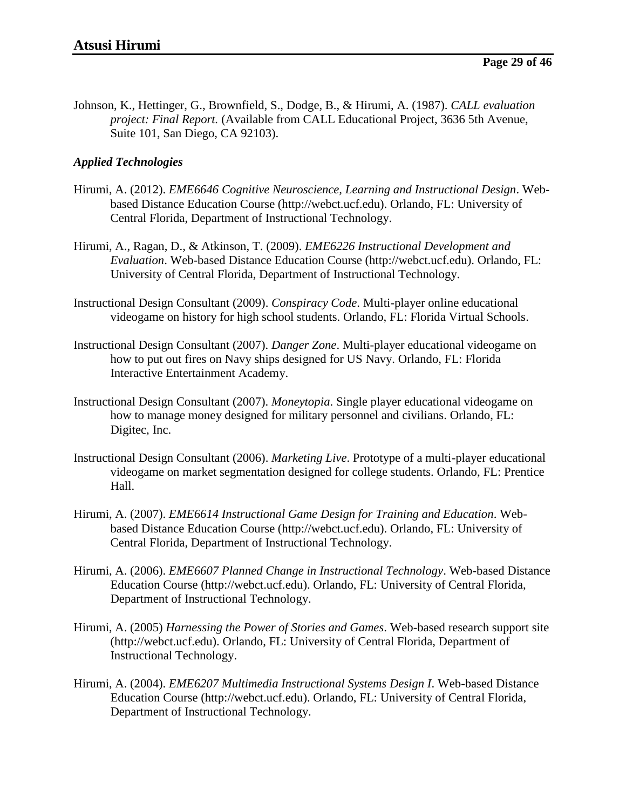Johnson, K., Hettinger, G., Brownfield, S., Dodge, B., & Hirumi, A. (1987). *CALL evaluation project: Final Report.* (Available from CALL Educational Project, 3636 5th Avenue, Suite 101, San Diego, CA 92103).

### *Applied Technologies*

- Hirumi, A. (2012). *EME6646 Cognitive Neuroscience, Learning and Instructional Design*. Webbased Distance Education Course (http://webct.ucf.edu). Orlando, FL: University of Central Florida, Department of Instructional Technology.
- Hirumi, A., Ragan, D., & Atkinson, T. (2009). *EME6226 Instructional Development and Evaluation*. Web-based Distance Education Course (http://webct.ucf.edu). Orlando, FL: University of Central Florida, Department of Instructional Technology.
- Instructional Design Consultant (2009). *Conspiracy Code*. Multi-player online educational videogame on history for high school students. Orlando, FL: Florida Virtual Schools.
- Instructional Design Consultant (2007). *Danger Zone*. Multi-player educational videogame on how to put out fires on Navy ships designed for US Navy. Orlando, FL: Florida Interactive Entertainment Academy.
- Instructional Design Consultant (2007). *Moneytopia*. Single player educational videogame on how to manage money designed for military personnel and civilians. Orlando, FL: Digitec, Inc.
- Instructional Design Consultant (2006). *Marketing Live*. Prototype of a multi-player educational videogame on market segmentation designed for college students. Orlando, FL: Prentice Hall.
- Hirumi, A. (2007). *EME6614 Instructional Game Design for Training and Education*. Webbased Distance Education Course (http://webct.ucf.edu). Orlando, FL: University of Central Florida, Department of Instructional Technology.
- Hirumi, A. (2006). *EME6607 Planned Change in Instructional Technology*. Web-based Distance Education Course (http://webct.ucf.edu). Orlando, FL: University of Central Florida, Department of Instructional Technology.
- Hirumi, A. (2005) *Harnessing the Power of Stories and Games*. Web-based research support site (http://webct.ucf.edu). Orlando, FL: University of Central Florida, Department of Instructional Technology.
- Hirumi, A. (2004). *EME6207 Multimedia Instructional Systems Design I*. Web-based Distance Education Course (http://webct.ucf.edu). Orlando, FL: University of Central Florida, Department of Instructional Technology.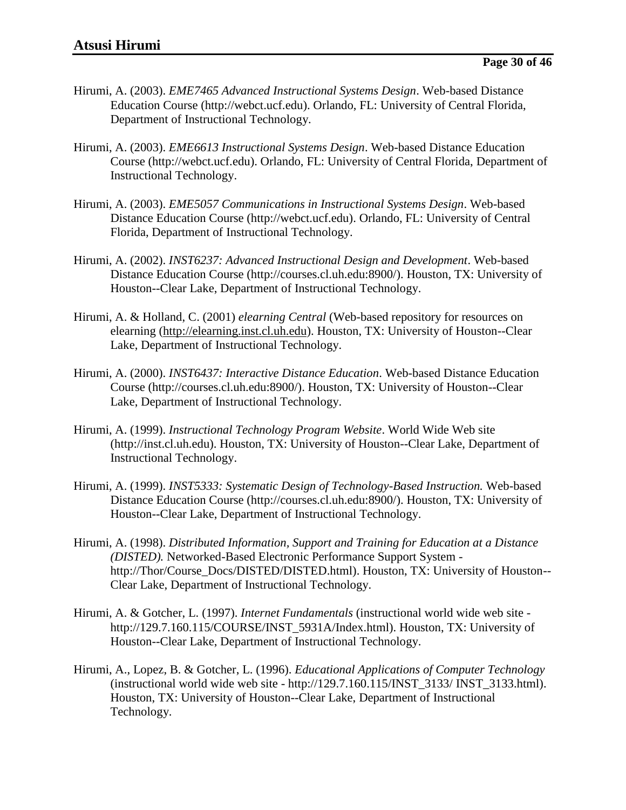- Hirumi, A. (2003). *EME7465 Advanced Instructional Systems Design*. Web-based Distance Education Course (http://webct.ucf.edu). Orlando, FL: University of Central Florida, Department of Instructional Technology.
- Hirumi, A. (2003). *EME6613 Instructional Systems Design*. Web-based Distance Education Course (http://webct.ucf.edu). Orlando, FL: University of Central Florida, Department of Instructional Technology.
- Hirumi, A. (2003). *EME5057 Communications in Instructional Systems Design*. Web-based Distance Education Course (http://webct.ucf.edu). Orlando, FL: University of Central Florida, Department of Instructional Technology.
- Hirumi, A. (2002). *INST6237: Advanced Instructional Design and Development*. Web-based Distance Education Course (http://courses.cl.uh.edu:8900/). Houston, TX: University of Houston--Clear Lake, Department of Instructional Technology.
- Hirumi, A. & Holland, C. (2001) *elearning Central* (Web-based repository for resources on elearning [\(http://elearning.inst.cl.uh.edu\)](http://elearning.inst.cl.uh.edu/). Houston, TX: University of Houston--Clear Lake, Department of Instructional Technology.
- Hirumi, A. (2000). *INST6437: Interactive Distance Education*. Web-based Distance Education Course (http://courses.cl.uh.edu:8900/). Houston, TX: University of Houston--Clear Lake, Department of Instructional Technology.
- Hirumi, A. (1999). *Instructional Technology Program Website*. World Wide Web site (http://inst.cl.uh.edu). Houston, TX: University of Houston--Clear Lake, Department of Instructional Technology.
- Hirumi, A. (1999). *INST5333: Systematic Design of Technology-Based Instruction.* Web-based Distance Education Course (http://courses.cl.uh.edu:8900/). Houston, TX: University of Houston--Clear Lake, Department of Instructional Technology.
- Hirumi, A. (1998). *Distributed Information, Support and Training for Education at a Distance (DISTED).* Networked-Based Electronic Performance Support System http://Thor/Course\_Docs/DISTED/DISTED.html). Houston, TX: University of Houston-- Clear Lake, Department of Instructional Technology.
- Hirumi, A. & Gotcher, L. (1997). *Internet Fundamentals* (instructional world wide web site http://129.7.160.115/COURSE/INST\_5931A/Index.html). Houston, TX: University of Houston--Clear Lake, Department of Instructional Technology.
- Hirumi, A., Lopez, B. & Gotcher, L. (1996). *Educational Applications of Computer Technology* (instructional world wide web site - http://129.7.160.115/INST\_3133/ INST\_3133.html). Houston, TX: University of Houston--Clear Lake, Department of Instructional Technology.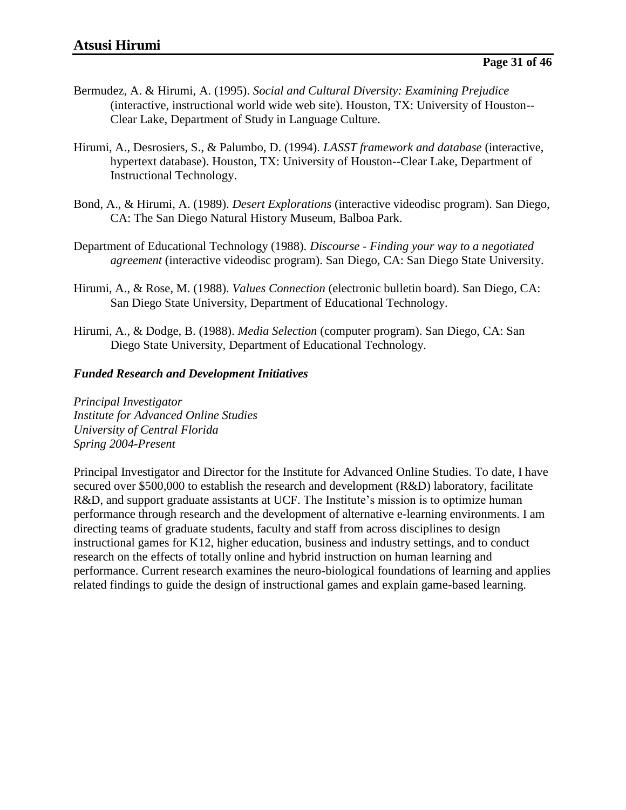- Bermudez, A. & Hirumi, A. (1995). *Social and Cultural Diversity: Examining Prejudice* (interactive, instructional world wide web site). Houston, TX: University of Houston-- Clear Lake, Department of Study in Language Culture.
- Hirumi, A., Desrosiers, S., & Palumbo, D. (1994). *LASST framework and database* (interactive, hypertext database). Houston, TX: University of Houston--Clear Lake, Department of Instructional Technology.
- Bond, A., & Hirumi, A. (1989). *Desert Explorations* (interactive videodisc program). San Diego, CA: The San Diego Natural History Museum, Balboa Park.
- Department of Educational Technology (1988). *Discourse - Finding your way to a negotiated agreement* (interactive videodisc program). San Diego, CA: San Diego State University.
- Hirumi, A., & Rose, M. (1988). *Values Connection* (electronic bulletin board). San Diego, CA: San Diego State University, Department of Educational Technology.
- Hirumi, A., & Dodge, B. (1988). *Media Selection* (computer program). San Diego, CA: San Diego State University, Department of Educational Technology.

#### *Funded Research and Development Initiatives*

*Principal Investigator Institute for Advanced Online Studies University of Central Florida Spring 2004-Present*

Principal Investigator and Director for the Institute for Advanced Online Studies. To date, I have secured over \$500,000 to establish the research and development (R&D) laboratory, facilitate R&D, and support graduate assistants at UCF. The Institute's mission is to optimize human performance through research and the development of alternative e-learning environments. I am directing teams of graduate students, faculty and staff from across disciplines to design instructional games for K12, higher education, business and industry settings, and to conduct research on the effects of totally online and hybrid instruction on human learning and performance. Current research examines the neuro-biological foundations of learning and applies related findings to guide the design of instructional games and explain game-based learning.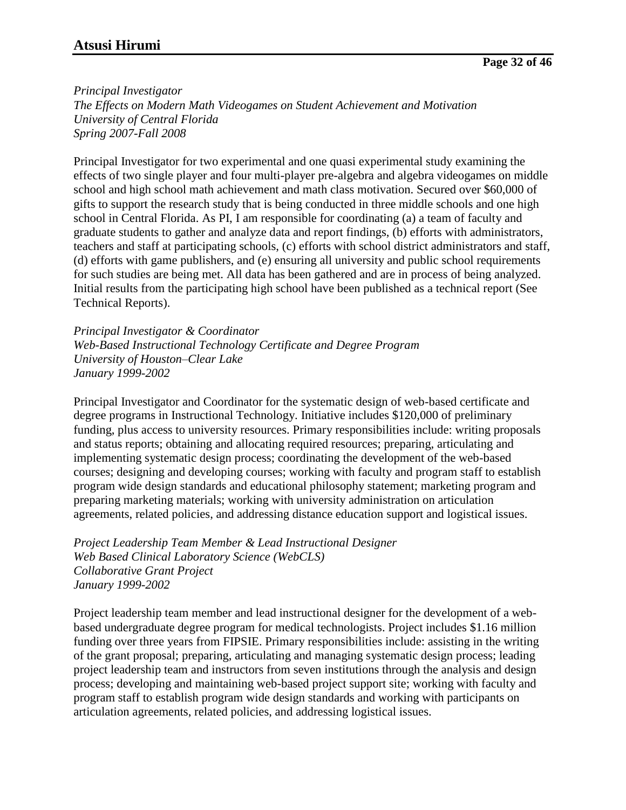#### *Principal Investigator*

*The Effects on Modern Math Videogames on Student Achievement and Motivation University of Central Florida Spring 2007-Fall 2008*

Principal Investigator for two experimental and one quasi experimental study examining the effects of two single player and four multi-player pre-algebra and algebra videogames on middle school and high school math achievement and math class motivation. Secured over \$60,000 of gifts to support the research study that is being conducted in three middle schools and one high school in Central Florida. As PI, I am responsible for coordinating (a) a team of faculty and graduate students to gather and analyze data and report findings, (b) efforts with administrators, teachers and staff at participating schools, (c) efforts with school district administrators and staff, (d) efforts with game publishers, and (e) ensuring all university and public school requirements for such studies are being met. All data has been gathered and are in process of being analyzed. Initial results from the participating high school have been published as a technical report (See Technical Reports).

*Principal Investigator & Coordinator Web-Based Instructional Technology Certificate and Degree Program University of Houston–Clear Lake January 1999-2002*

Principal Investigator and Coordinator for the systematic design of web-based certificate and degree programs in Instructional Technology. Initiative includes \$120,000 of preliminary funding, plus access to university resources. Primary responsibilities include: writing proposals and status reports; obtaining and allocating required resources; preparing, articulating and implementing systematic design process; coordinating the development of the web-based courses; designing and developing courses; working with faculty and program staff to establish program wide design standards and educational philosophy statement; marketing program and preparing marketing materials; working with university administration on articulation agreements, related policies, and addressing distance education support and logistical issues.

*Project Leadership Team Member & Lead Instructional Designer Web Based Clinical Laboratory Science (WebCLS) Collaborative Grant Project January 1999-2002*

Project leadership team member and lead instructional designer for the development of a webbased undergraduate degree program for medical technologists. Project includes \$1.16 million funding over three years from FIPSIE. Primary responsibilities include: assisting in the writing of the grant proposal; preparing, articulating and managing systematic design process; leading project leadership team and instructors from seven institutions through the analysis and design process; developing and maintaining web-based project support site; working with faculty and program staff to establish program wide design standards and working with participants on articulation agreements, related policies, and addressing logistical issues.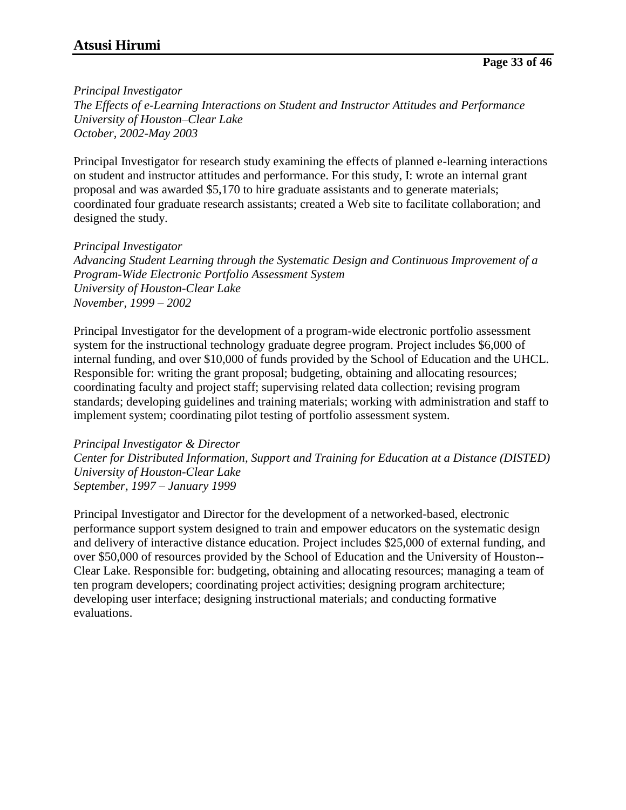*Principal Investigator*

*The Effects of e-Learning Interactions on Student and Instructor Attitudes and Performance University of Houston–Clear Lake October, 2002-May 2003*

Principal Investigator for research study examining the effects of planned e-learning interactions on student and instructor attitudes and performance. For this study, I: wrote an internal grant proposal and was awarded \$5,170 to hire graduate assistants and to generate materials; coordinated four graduate research assistants; created a Web site to facilitate collaboration; and designed the study.

*Principal Investigator Advancing Student Learning through the Systematic Design and Continuous Improvement of a Program-Wide Electronic Portfolio Assessment System University of Houston-Clear Lake November, 1999 – 2002*

Principal Investigator for the development of a program-wide electronic portfolio assessment system for the instructional technology graduate degree program. Project includes \$6,000 of internal funding, and over \$10,000 of funds provided by the School of Education and the UHCL. Responsible for: writing the grant proposal; budgeting, obtaining and allocating resources; coordinating faculty and project staff; supervising related data collection; revising program standards; developing guidelines and training materials; working with administration and staff to implement system; coordinating pilot testing of portfolio assessment system.

*Principal Investigator & Director Center for Distributed Information, Support and Training for Education at a Distance (DISTED) University of Houston-Clear Lake September, 1997 – January 1999*

Principal Investigator and Director for the development of a networked-based, electronic performance support system designed to train and empower educators on the systematic design and delivery of interactive distance education. Project includes \$25,000 of external funding, and over \$50,000 of resources provided by the School of Education and the University of Houston-- Clear Lake. Responsible for: budgeting, obtaining and allocating resources; managing a team of ten program developers; coordinating project activities; designing program architecture; developing user interface; designing instructional materials; and conducting formative evaluations.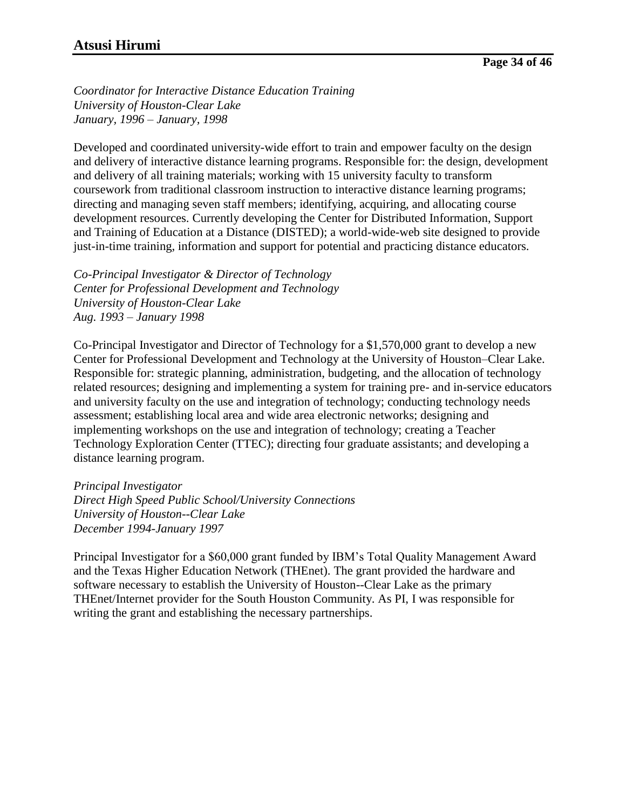*Coordinator for Interactive Distance Education Training University of Houston-Clear Lake January, 1996 – January, 1998*

Developed and coordinated university-wide effort to train and empower faculty on the design and delivery of interactive distance learning programs. Responsible for: the design, development and delivery of all training materials; working with 15 university faculty to transform coursework from traditional classroom instruction to interactive distance learning programs; directing and managing seven staff members; identifying, acquiring, and allocating course development resources. Currently developing the Center for Distributed Information, Support and Training of Education at a Distance (DISTED); a world-wide-web site designed to provide just-in-time training, information and support for potential and practicing distance educators.

*Co-Principal Investigator & Director of Technology Center for Professional Development and Technology University of Houston-Clear Lake Aug. 1993 – January 1998*

Co-Principal Investigator and Director of Technology for a \$1,570,000 grant to develop a new Center for Professional Development and Technology at the University of Houston–Clear Lake. Responsible for: strategic planning, administration, budgeting, and the allocation of technology related resources; designing and implementing a system for training pre- and in-service educators and university faculty on the use and integration of technology; conducting technology needs assessment; establishing local area and wide area electronic networks; designing and implementing workshops on the use and integration of technology; creating a Teacher Technology Exploration Center (TTEC); directing four graduate assistants; and developing a distance learning program.

*Principal Investigator Direct High Speed Public School/University Connections University of Houston--Clear Lake December 1994-January 1997*

Principal Investigator for a \$60,000 grant funded by IBM's Total Quality Management Award and the Texas Higher Education Network (THEnet). The grant provided the hardware and software necessary to establish the University of Houston--Clear Lake as the primary THEnet/Internet provider for the South Houston Community. As PI, I was responsible for writing the grant and establishing the necessary partnerships.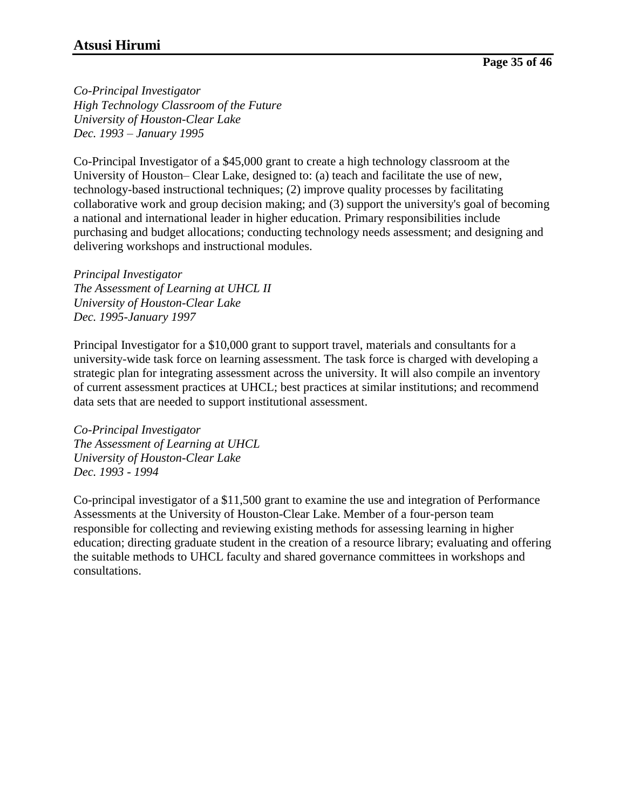*Co-Principal Investigator High Technology Classroom of the Future University of Houston-Clear Lake Dec. 1993 – January 1995*

Co-Principal Investigator of a \$45,000 grant to create a high technology classroom at the University of Houston*–* Clear Lake, designed to: (a) teach and facilitate the use of new, technology-based instructional techniques; (2) improve quality processes by facilitating collaborative work and group decision making; and (3) support the university's goal of becoming a national and international leader in higher education. Primary responsibilities include purchasing and budget allocations; conducting technology needs assessment; and designing and delivering workshops and instructional modules.

*Principal Investigator The Assessment of Learning at UHCL II University of Houston-Clear Lake Dec. 1995-January 1997*

Principal Investigator for a \$10,000 grant to support travel, materials and consultants for a university-wide task force on learning assessment. The task force is charged with developing a strategic plan for integrating assessment across the university. It will also compile an inventory of current assessment practices at UHCL; best practices at similar institutions; and recommend data sets that are needed to support institutional assessment.

*Co-Principal Investigator The Assessment of Learning at UHCL University of Houston-Clear Lake Dec. 1993 - 1994*

Co-principal investigator of a \$11,500 grant to examine the use and integration of Performance Assessments at the University of Houston-Clear Lake. Member of a four-person team responsible for collecting and reviewing existing methods for assessing learning in higher education; directing graduate student in the creation of a resource library; evaluating and offering the suitable methods to UHCL faculty and shared governance committees in workshops and consultations.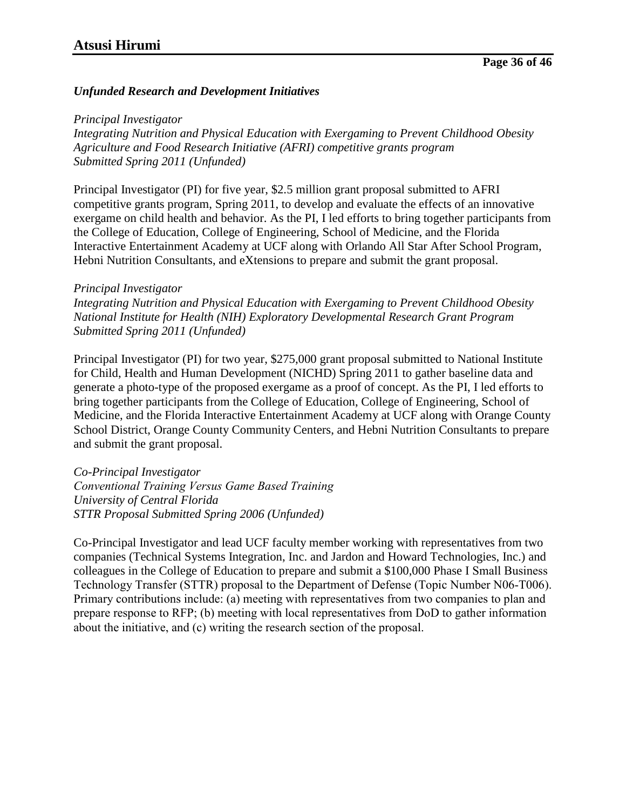#### *Unfunded Research and Development Initiatives*

#### *Principal Investigator*

*Integrating Nutrition and Physical Education with Exergaming to Prevent Childhood Obesity Agriculture and Food Research Initiative (AFRI) competitive grants program Submitted Spring 2011 (Unfunded)*

Principal Investigator (PI) for five year, \$2.5 million grant proposal submitted to AFRI competitive grants program, Spring 2011, to develop and evaluate the effects of an innovative exergame on child health and behavior. As the PI, I led efforts to bring together participants from the College of Education, College of Engineering, School of Medicine, and the Florida Interactive Entertainment Academy at UCF along with Orlando All Star After School Program, Hebni Nutrition Consultants, and eXtensions to prepare and submit the grant proposal.

#### *Principal Investigator*

*Integrating Nutrition and Physical Education with Exergaming to Prevent Childhood Obesity National Institute for Health (NIH) Exploratory Developmental Research Grant Program Submitted Spring 2011 (Unfunded)*

Principal Investigator (PI) for two year, \$275,000 grant proposal submitted to National Institute for Child, Health and Human Development (NICHD) Spring 2011 to gather baseline data and generate a photo-type of the proposed exergame as a proof of concept. As the PI, I led efforts to bring together participants from the College of Education, College of Engineering, School of Medicine, and the Florida Interactive Entertainment Academy at UCF along with Orange County School District, Orange County Community Centers, and Hebni Nutrition Consultants to prepare and submit the grant proposal.

*Co-Principal Investigator Conventional Training Versus Game Based Training University of Central Florida STTR Proposal Submitted Spring 2006 (Unfunded)*

Co-Principal Investigator and lead UCF faculty member working with representatives from two companies (Technical Systems Integration, Inc. and Jardon and Howard Technologies, Inc.) and colleagues in the College of Education to prepare and submit a \$100,000 Phase I Small Business Technology Transfer (STTR) proposal to the Department of Defense (Topic Number N06-T006). Primary contributions include: (a) meeting with representatives from two companies to plan and prepare response to RFP; (b) meeting with local representatives from DoD to gather information about the initiative, and (c) writing the research section of the proposal.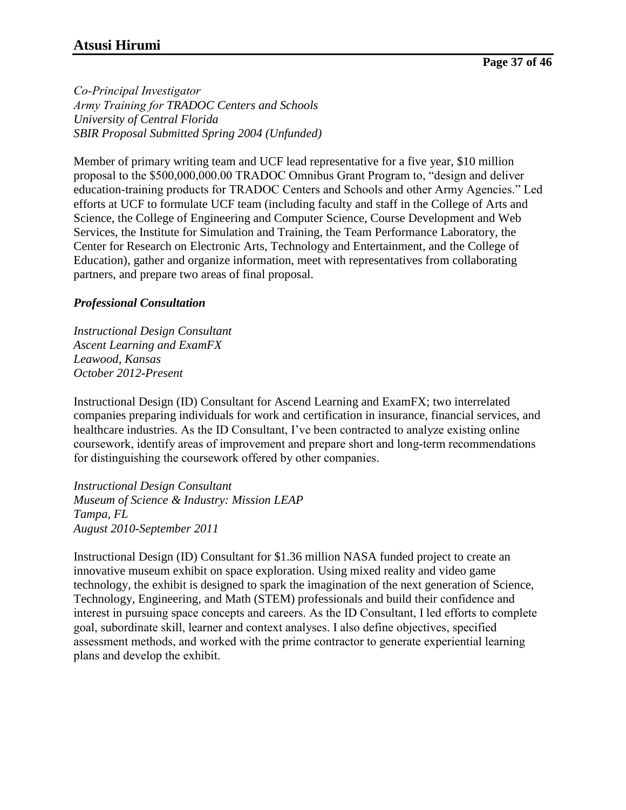*Co-Principal Investigator Army Training for TRADOC Centers and Schools University of Central Florida SBIR Proposal Submitted Spring 2004 (Unfunded)*

Member of primary writing team and UCF lead representative for a five year, \$10 million proposal to the \$500,000,000.00 TRADOC Omnibus Grant Program to, "design and deliver education-training products for TRADOC Centers and Schools and other Army Agencies." Led efforts at UCF to formulate UCF team (including faculty and staff in the College of Arts and Science, the College of Engineering and Computer Science, Course Development and Web Services, the Institute for Simulation and Training, the Team Performance Laboratory, the Center for Research on Electronic Arts, Technology and Entertainment, and the College of Education), gather and organize information, meet with representatives from collaborating partners, and prepare two areas of final proposal.

## *Professional Consultation*

*Instructional Design Consultant Ascent Learning and ExamFX Leawood, Kansas October 2012-Present*

Instructional Design (ID) Consultant for Ascend Learning and ExamFX; two interrelated companies preparing individuals for work and certification in insurance, financial services, and healthcare industries. As the ID Consultant, I've been contracted to analyze existing online coursework, identify areas of improvement and prepare short and long-term recommendations for distinguishing the coursework offered by other companies.

*Instructional Design Consultant Museum of Science & Industry: Mission LEAP Tampa, FL August 2010-September 2011*

Instructional Design (ID) Consultant for \$1.36 million NASA funded project to create an innovative museum exhibit on space exploration. Using mixed reality and video game technology, the exhibit is designed to spark the imagination of the next generation of Science, Technology, Engineering, and Math (STEM) professionals and build their confidence and interest in pursuing space concepts and careers. As the ID Consultant, I led efforts to complete goal, subordinate skill, learner and context analyses. I also define objectives, specified assessment methods, and worked with the prime contractor to generate experiential learning plans and develop the exhibit.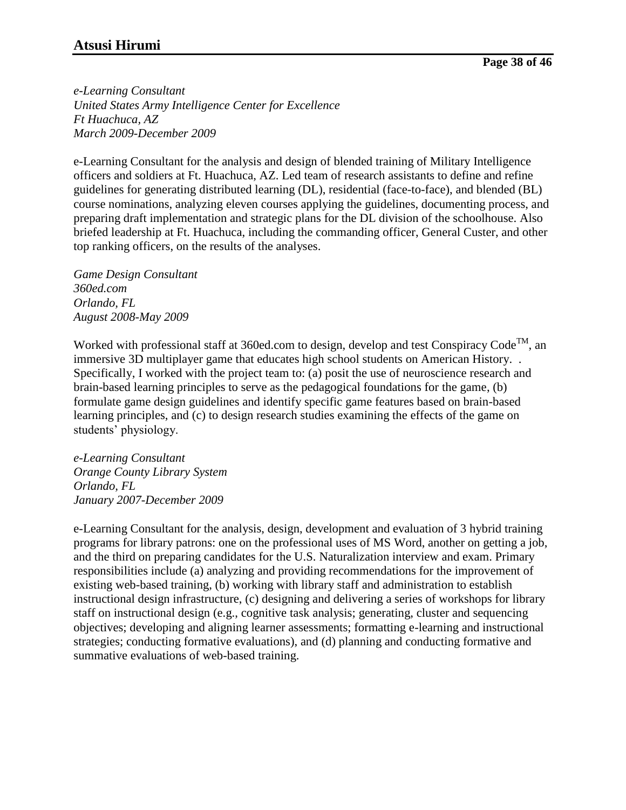*e-Learning Consultant United States Army Intelligence Center for Excellence Ft Huachuca, AZ March 2009-December 2009*

e-Learning Consultant for the analysis and design of blended training of Military Intelligence officers and soldiers at Ft. Huachuca, AZ. Led team of research assistants to define and refine guidelines for generating distributed learning (DL), residential (face-to-face), and blended (BL) course nominations, analyzing eleven courses applying the guidelines, documenting process, and preparing draft implementation and strategic plans for the DL division of the schoolhouse. Also briefed leadership at Ft. Huachuca, including the commanding officer, General Custer, and other top ranking officers, on the results of the analyses.

*Game Design Consultant 360ed.com Orlando, FL August 2008-May 2009*

Worked with professional staff at 360ed.com to design, develop and test Conspiracy Code<sup>TM</sup>, an immersive 3D multiplayer game that educates high school students on American History. . Specifically, I worked with the project team to: (a) posit the use of neuroscience research and brain-based learning principles to serve as the pedagogical foundations for the game, (b) formulate game design guidelines and identify specific game features based on brain-based learning principles, and (c) to design research studies examining the effects of the game on students' physiology.

*e-Learning Consultant Orange County Library System Orlando, FL January 2007-December 2009*

e-Learning Consultant for the analysis, design, development and evaluation of 3 hybrid training programs for library patrons: one on the professional uses of MS Word, another on getting a job, and the third on preparing candidates for the U.S. Naturalization interview and exam. Primary responsibilities include (a) analyzing and providing recommendations for the improvement of existing web-based training, (b) working with library staff and administration to establish instructional design infrastructure, (c) designing and delivering a series of workshops for library staff on instructional design (e.g., cognitive task analysis; generating, cluster and sequencing objectives; developing and aligning learner assessments; formatting e-learning and instructional strategies; conducting formative evaluations), and (d) planning and conducting formative and summative evaluations of web-based training.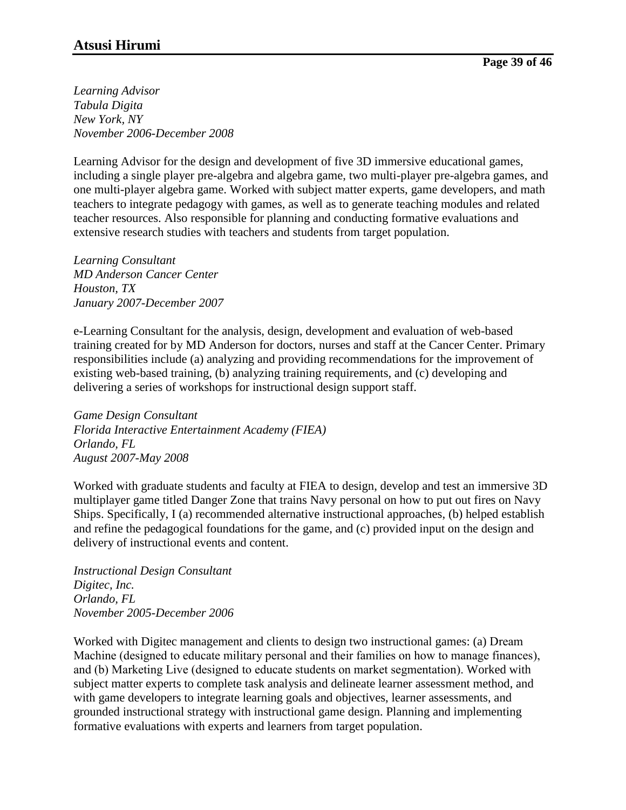*Learning Advisor Tabula Digita New York, NY November 2006-December 2008*

Learning Advisor for the design and development of five 3D immersive educational games, including a single player pre-algebra and algebra game, two multi-player pre-algebra games, and one multi-player algebra game. Worked with subject matter experts, game developers, and math teachers to integrate pedagogy with games, as well as to generate teaching modules and related teacher resources. Also responsible for planning and conducting formative evaluations and extensive research studies with teachers and students from target population.

*Learning Consultant MD Anderson Cancer Center Houston, TX January 2007-December 2007*

e-Learning Consultant for the analysis, design, development and evaluation of web-based training created for by MD Anderson for doctors, nurses and staff at the Cancer Center. Primary responsibilities include (a) analyzing and providing recommendations for the improvement of existing web-based training, (b) analyzing training requirements, and (c) developing and delivering a series of workshops for instructional design support staff.

*Game Design Consultant Florida Interactive Entertainment Academy (FIEA) Orlando, FL August 2007-May 2008*

Worked with graduate students and faculty at FIEA to design, develop and test an immersive 3D multiplayer game titled Danger Zone that trains Navy personal on how to put out fires on Navy Ships. Specifically, I (a) recommended alternative instructional approaches, (b) helped establish and refine the pedagogical foundations for the game, and (c) provided input on the design and delivery of instructional events and content.

*Instructional Design Consultant Digitec, Inc. Orlando, FL November 2005-December 2006*

Worked with Digitec management and clients to design two instructional games: (a) Dream Machine (designed to educate military personal and their families on how to manage finances), and (b) Marketing Live (designed to educate students on market segmentation). Worked with subject matter experts to complete task analysis and delineate learner assessment method, and with game developers to integrate learning goals and objectives, learner assessments, and grounded instructional strategy with instructional game design. Planning and implementing formative evaluations with experts and learners from target population.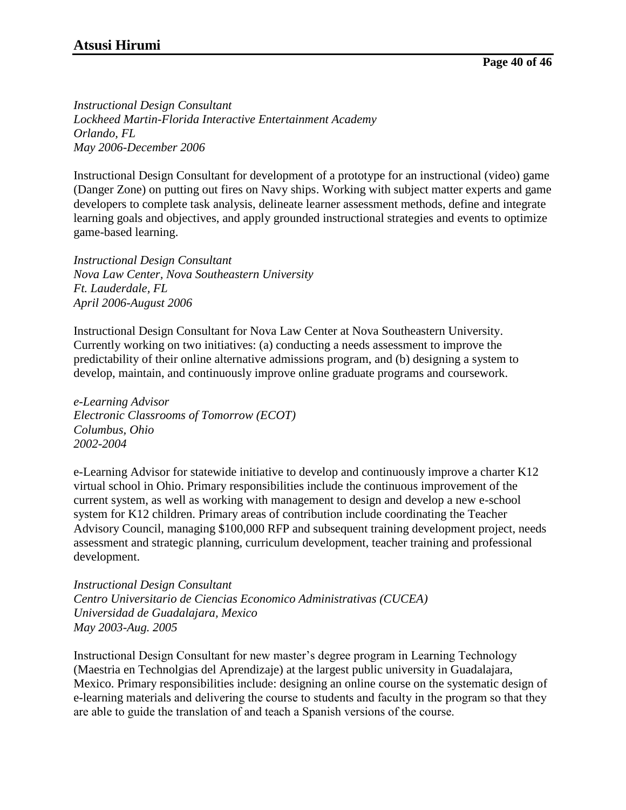*Instructional Design Consultant Lockheed Martin-Florida Interactive Entertainment Academy Orlando, FL May 2006-December 2006*

Instructional Design Consultant for development of a prototype for an instructional (video) game (Danger Zone) on putting out fires on Navy ships. Working with subject matter experts and game developers to complete task analysis, delineate learner assessment methods, define and integrate learning goals and objectives, and apply grounded instructional strategies and events to optimize game-based learning.

*Instructional Design Consultant Nova Law Center, Nova Southeastern University Ft. Lauderdale, FL April 2006-August 2006*

Instructional Design Consultant for Nova Law Center at Nova Southeastern University. Currently working on two initiatives: (a) conducting a needs assessment to improve the predictability of their online alternative admissions program, and (b) designing a system to develop, maintain, and continuously improve online graduate programs and coursework.

*e-Learning Advisor Electronic Classrooms of Tomorrow (ECOT) Columbus, Ohio 2002-2004*

e-Learning Advisor for statewide initiative to develop and continuously improve a charter K12 virtual school in Ohio. Primary responsibilities include the continuous improvement of the current system, as well as working with management to design and develop a new e-school system for K12 children. Primary areas of contribution include coordinating the Teacher Advisory Council, managing \$100,000 RFP and subsequent training development project, needs assessment and strategic planning, curriculum development, teacher training and professional development.

*Instructional Design Consultant Centro Universitario de Ciencias Economico Administrativas (CUCEA) Universidad de Guadalajara, Mexico May 2003-Aug. 2005*

Instructional Design Consultant for new master's degree program in Learning Technology (Maestria en Technolgias del Aprendizaje) at the largest public university in Guadalajara, Mexico. Primary responsibilities include: designing an online course on the systematic design of e-learning materials and delivering the course to students and faculty in the program so that they are able to guide the translation of and teach a Spanish versions of the course.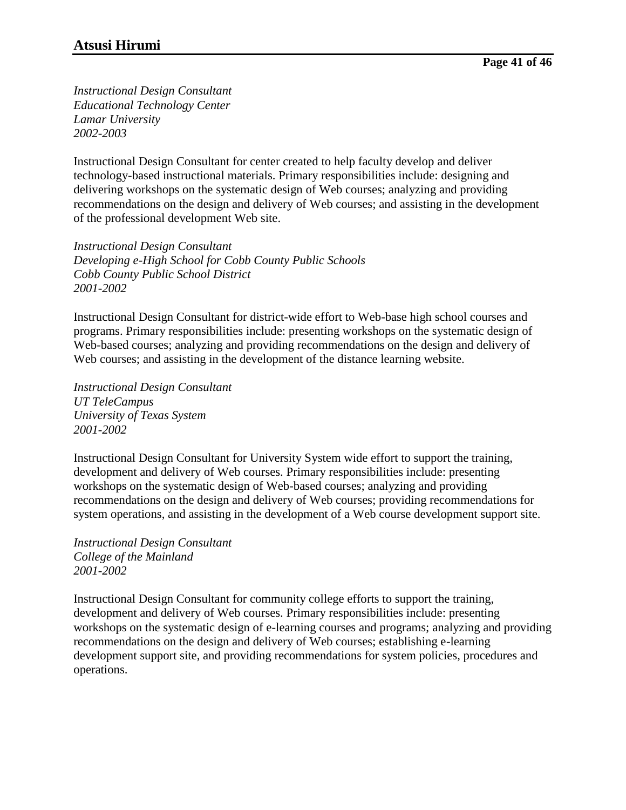*Instructional Design Consultant Educational Technology Center Lamar University 2002-2003*

Instructional Design Consultant for center created to help faculty develop and deliver technology-based instructional materials. Primary responsibilities include: designing and delivering workshops on the systematic design of Web courses; analyzing and providing recommendations on the design and delivery of Web courses; and assisting in the development of the professional development Web site.

*Instructional Design Consultant Developing e-High School for Cobb County Public Schools Cobb County Public School District 2001-2002*

Instructional Design Consultant for district-wide effort to Web-base high school courses and programs. Primary responsibilities include: presenting workshops on the systematic design of Web-based courses; analyzing and providing recommendations on the design and delivery of Web courses; and assisting in the development of the distance learning website.

*Instructional Design Consultant UT TeleCampus University of Texas System 2001-2002*

Instructional Design Consultant for University System wide effort to support the training, development and delivery of Web courses. Primary responsibilities include: presenting workshops on the systematic design of Web-based courses; analyzing and providing recommendations on the design and delivery of Web courses; providing recommendations for system operations, and assisting in the development of a Web course development support site.

*Instructional Design Consultant College of the Mainland 2001-2002*

Instructional Design Consultant for community college efforts to support the training, development and delivery of Web courses. Primary responsibilities include: presenting workshops on the systematic design of e-learning courses and programs; analyzing and providing recommendations on the design and delivery of Web courses; establishing e-learning development support site, and providing recommendations for system policies, procedures and operations.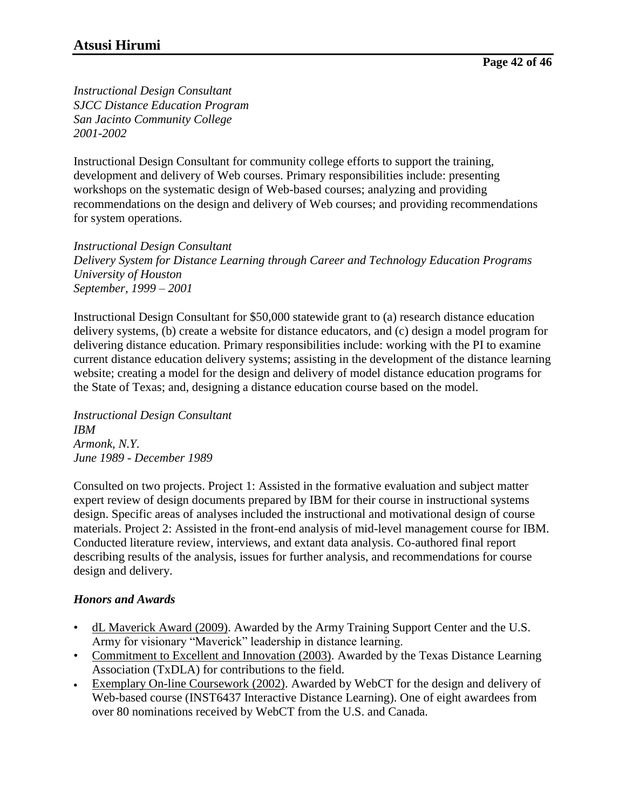*Instructional Design Consultant SJCC Distance Education Program San Jacinto Community College 2001-2002*

Instructional Design Consultant for community college efforts to support the training, development and delivery of Web courses. Primary responsibilities include: presenting workshops on the systematic design of Web-based courses; analyzing and providing recommendations on the design and delivery of Web courses; and providing recommendations for system operations.

*Instructional Design Consultant Delivery System for Distance Learning through Career and Technology Education Programs University of Houston September, 1999 – 2001*

Instructional Design Consultant for \$50,000 statewide grant to (a) research distance education delivery systems, (b) create a website for distance educators, and (c) design a model program for delivering distance education. Primary responsibilities include: working with the PI to examine current distance education delivery systems; assisting in the development of the distance learning website; creating a model for the design and delivery of model distance education programs for the State of Texas; and, designing a distance education course based on the model.

*Instructional Design Consultant IBM Armonk, N.Y. June 1989 - December 1989*

Consulted on two projects. Project 1: Assisted in the formative evaluation and subject matter expert review of design documents prepared by IBM for their course in instructional systems design. Specific areas of analyses included the instructional and motivational design of course materials. Project 2: Assisted in the front-end analysis of mid-level management course for IBM. Conducted literature review, interviews, and extant data analysis. Co-authored final report describing results of the analysis, issues for further analysis, and recommendations for course design and delivery.

## *Honors and Awards*

- dL Maverick Award (2009). Awarded by the Army Training Support Center and the U.S. Army for visionary "Maverick" leadership in distance learning.
- Commitment to Excellent and Innovation (2003). Awarded by the Texas Distance Learning Association (TxDLA) for contributions to the field.
- Exemplary On-line Coursework (2002). Awarded by WebCT for the design and delivery of Web-based course (INST6437 Interactive Distance Learning). One of eight awardees from over 80 nominations received by WebCT from the U.S. and Canada.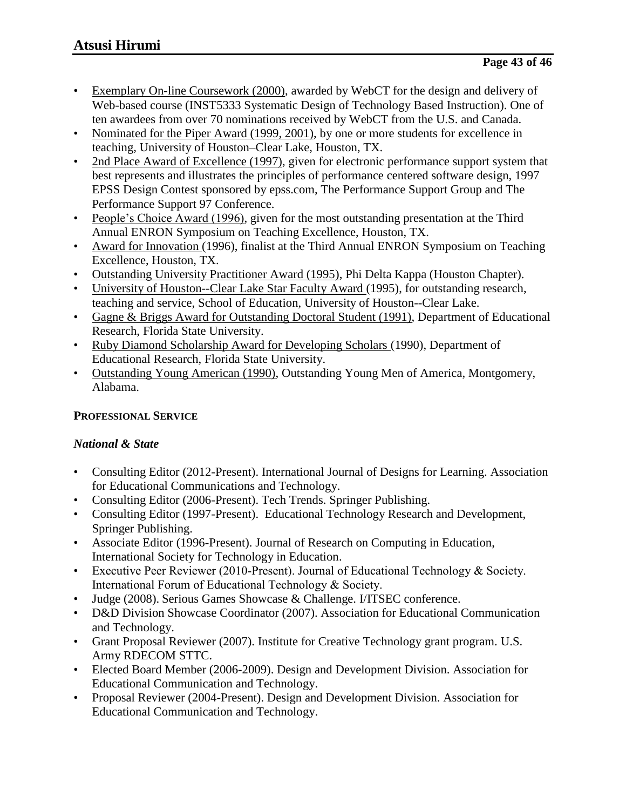- Exemplary On-line Coursework (2000), awarded by WebCT for the design and delivery of Web-based course (INST5333 Systematic Design of Technology Based Instruction). One of ten awardees from over 70 nominations received by WebCT from the U.S. and Canada.
- Nominated for the Piper Award (1999, 2001), by one or more students for excellence in teaching, University of Houston–Clear Lake, Houston, TX.
- 2nd Place Award of Excellence (1997), given for electronic performance support system that best represents and illustrates the principles of performance centered software design, 1997 EPSS Design Contest sponsored by epss.com, The Performance Support Group and The Performance Support 97 Conference.
- People's Choice Award (1996), given for the most outstanding presentation at the Third Annual ENRON Symposium on Teaching Excellence, Houston, TX.
- Award for Innovation (1996), finalist at the Third Annual ENRON Symposium on Teaching Excellence, Houston, TX.
- Outstanding University Practitioner Award (1995), Phi Delta Kappa (Houston Chapter).
- University of Houston--Clear Lake Star Faculty Award (1995), for outstanding research, teaching and service, School of Education, University of Houston--Clear Lake.
- Gagne & Briggs Award for Outstanding Doctoral Student (1991), Department of Educational Research, Florida State University.
- Ruby Diamond Scholarship Award for Developing Scholars (1990), Department of Educational Research, Florida State University.
- Outstanding Young American (1990), Outstanding Young Men of America, Montgomery, Alabama.

# **PROFESSIONAL SERVICE**

## *National & State*

- Consulting Editor (2012-Present). International Journal of Designs for Learning. Association for Educational Communications and Technology.
- Consulting Editor (2006-Present). Tech Trends. Springer Publishing.
- Consulting Editor (1997-Present). Educational Technology Research and Development, Springer Publishing.
- Associate Editor (1996-Present). Journal of Research on Computing in Education, International Society for Technology in Education.
- Executive Peer Reviewer (2010-Present). Journal of Educational Technology & Society. International Forum of Educational Technology & Society.
- Judge (2008). Serious Games Showcase & Challenge. I/ITSEC conference.
- D&D Division Showcase Coordinator (2007). Association for Educational Communication and Technology.
- Grant Proposal Reviewer (2007). Institute for Creative Technology grant program. U.S. Army RDECOM STTC.
- Elected Board Member (2006-2009). Design and Development Division. Association for Educational Communication and Technology.
- Proposal Reviewer (2004-Present). Design and Development Division. Association for Educational Communication and Technology.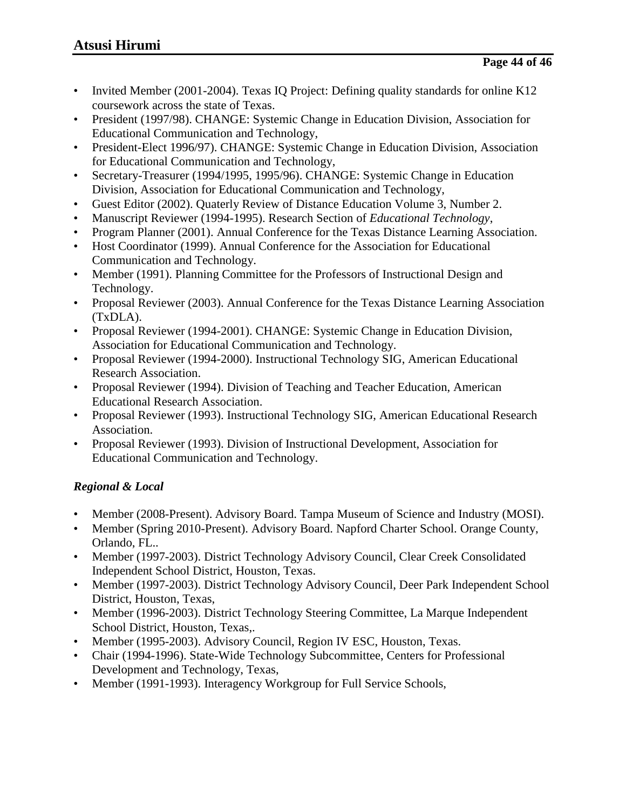- Invited Member (2001-2004). Texas IQ Project: Defining quality standards for online K12 coursework across the state of Texas.
- President (1997/98). CHANGE: Systemic Change in Education Division, Association for Educational Communication and Technology,
- President-Elect 1996/97). CHANGE: Systemic Change in Education Division, Association for Educational Communication and Technology,
- Secretary-Treasurer (1994/1995, 1995/96). CHANGE: Systemic Change in Education Division, Association for Educational Communication and Technology,
- Guest Editor (2002). Quaterly Review of Distance Education Volume 3, Number 2.
- Manuscript Reviewer (1994-1995). Research Section of *Educational Technology*,
- Program Planner (2001). Annual Conference for the Texas Distance Learning Association.
- Host Coordinator (1999). Annual Conference for the Association for Educational Communication and Technology.
- Member (1991). Planning Committee for the Professors of Instructional Design and Technology.
- Proposal Reviewer (2003). Annual Conference for the Texas Distance Learning Association (TxDLA).
- Proposal Reviewer (1994-2001). CHANGE: Systemic Change in Education Division, Association for Educational Communication and Technology.
- Proposal Reviewer (1994-2000). Instructional Technology SIG, American Educational Research Association.
- Proposal Reviewer (1994). Division of Teaching and Teacher Education, American Educational Research Association.
- Proposal Reviewer (1993). Instructional Technology SIG, American Educational Research Association.
- Proposal Reviewer (1993). Division of Instructional Development, Association for Educational Communication and Technology.

# *Regional & Local*

- Member (2008-Present). Advisory Board. Tampa Museum of Science and Industry (MOSI).
- Member (Spring 2010-Present). Advisory Board. Napford Charter School. Orange County, Orlando, FL..
- Member (1997-2003). District Technology Advisory Council, Clear Creek Consolidated Independent School District, Houston, Texas.
- Member (1997-2003). District Technology Advisory Council, Deer Park Independent School District, Houston, Texas,
- Member (1996-2003). District Technology Steering Committee, La Marque Independent School District, Houston, Texas,.
- Member (1995-2003). Advisory Council, Region IV ESC, Houston, Texas.
- Chair (1994-1996). State-Wide Technology Subcommittee, Centers for Professional Development and Technology, Texas,
- Member (1991-1993). Interagency Workgroup for Full Service Schools,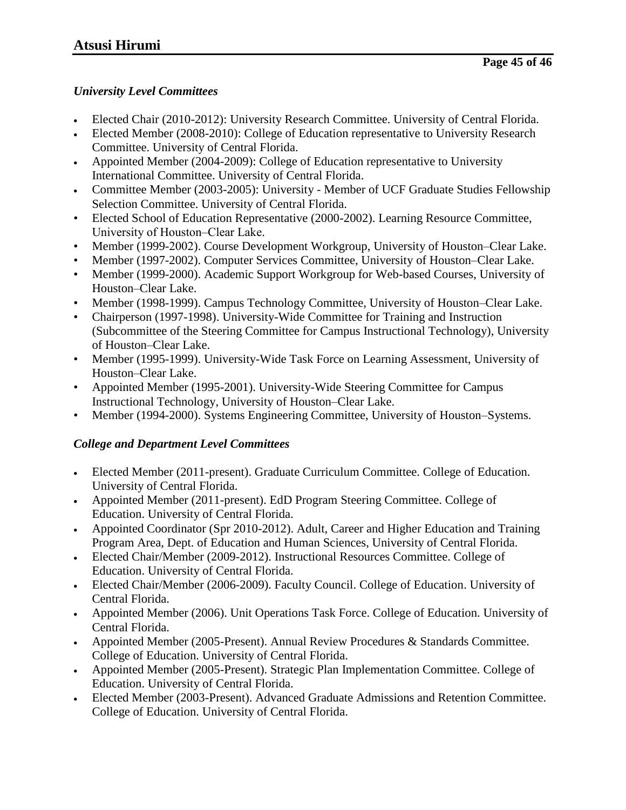## *University Level Committees*

- Elected Chair (2010-2012): University Research Committee. University of Central Florida.
- Elected Member (2008-2010): College of Education representative to University Research Committee. University of Central Florida.
- Appointed Member (2004-2009): College of Education representative to University International Committee. University of Central Florida.
- Committee Member (2003-2005): University Member of UCF Graduate Studies Fellowship Selection Committee. University of Central Florida.
- Elected School of Education Representative (2000-2002). Learning Resource Committee, University of Houston–Clear Lake.
- Member (1999-2002). Course Development Workgroup, University of Houston–Clear Lake.
- Member (1997-2002). Computer Services Committee, University of Houston–Clear Lake.
- Member (1999-2000). Academic Support Workgroup for Web-based Courses, University of Houston–Clear Lake.
- Member (1998-1999). Campus Technology Committee, University of Houston–Clear Lake.
- Chairperson (1997-1998). University-Wide Committee for Training and Instruction (Subcommittee of the Steering Committee for Campus Instructional Technology), University of Houston–Clear Lake.
- Member (1995-1999). University-Wide Task Force on Learning Assessment, University of Houston–Clear Lake.
- Appointed Member (1995-2001). University-Wide Steering Committee for Campus Instructional Technology, University of Houston–Clear Lake.
- Member (1994-2000). Systems Engineering Committee, University of Houston–Systems.

# *College and Department Level Committees*

- Elected Member (2011-present). Graduate Curriculum Committee. College of Education. University of Central Florida.
- Appointed Member (2011-present). EdD Program Steering Committee. College of Education. University of Central Florida.
- Appointed Coordinator (Spr 2010-2012). Adult, Career and Higher Education and Training Program Area, Dept. of Education and Human Sciences, University of Central Florida.
- Elected Chair/Member (2009-2012). Instructional Resources Committee. College of Education. University of Central Florida.
- Elected Chair/Member (2006-2009). Faculty Council. College of Education. University of Central Florida.
- Appointed Member (2006). Unit Operations Task Force. College of Education. University of Central Florida.
- Appointed Member (2005-Present). Annual Review Procedures & Standards Committee. College of Education. University of Central Florida.
- Appointed Member (2005-Present). Strategic Plan Implementation Committee. College of Education. University of Central Florida.
- Elected Member (2003-Present). Advanced Graduate Admissions and Retention Committee. College of Education. University of Central Florida.